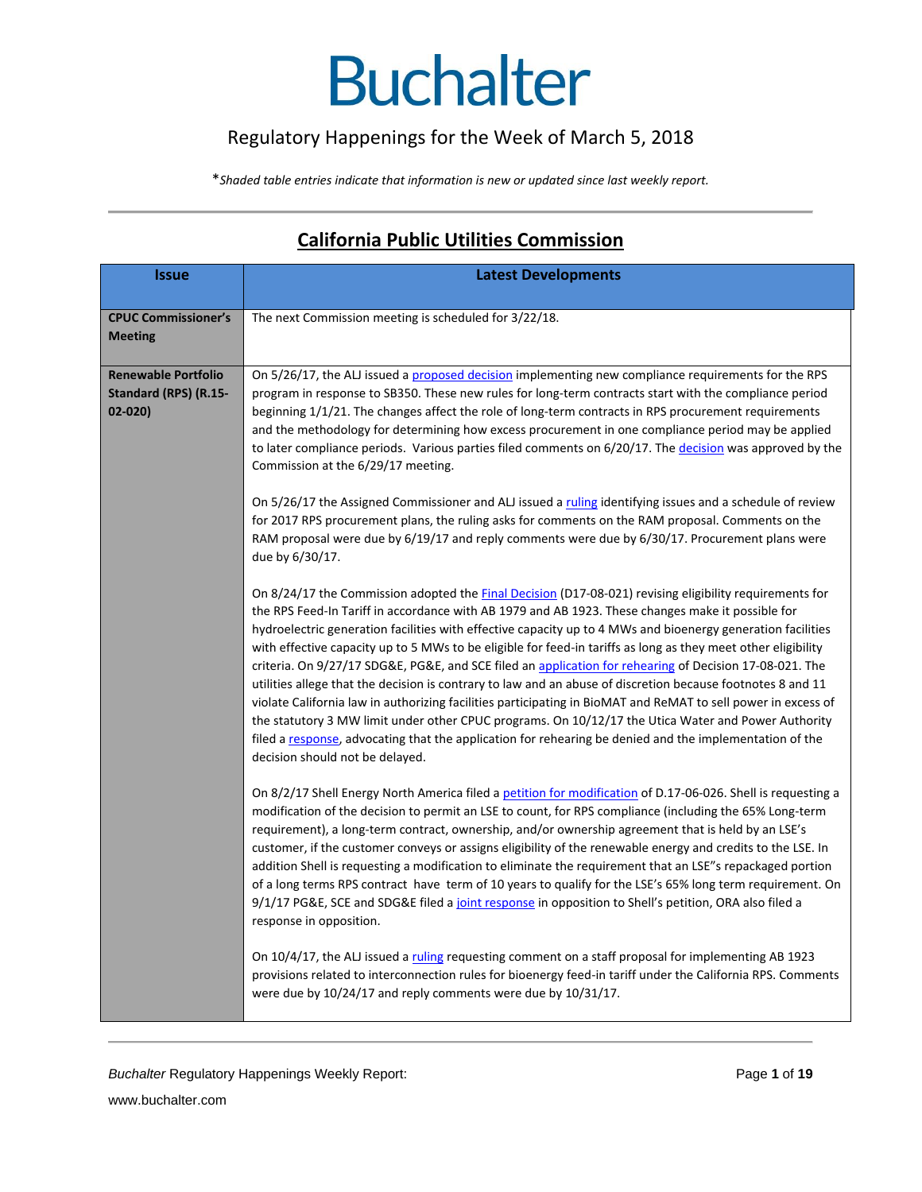#### Regulatory Happenings for the Week of March 5, 2018

\**Shaded table entries indicate that information is new or updated since last weekly report.*

| <b>Issue</b>               | <b>Latest Developments</b>                                                                                                                                                                                                                                                                                                                                                                                                                                                                                                                                                                                                                                                                                                                                                                                                   |
|----------------------------|------------------------------------------------------------------------------------------------------------------------------------------------------------------------------------------------------------------------------------------------------------------------------------------------------------------------------------------------------------------------------------------------------------------------------------------------------------------------------------------------------------------------------------------------------------------------------------------------------------------------------------------------------------------------------------------------------------------------------------------------------------------------------------------------------------------------------|
|                            |                                                                                                                                                                                                                                                                                                                                                                                                                                                                                                                                                                                                                                                                                                                                                                                                                              |
| <b>CPUC Commissioner's</b> | The next Commission meeting is scheduled for 3/22/18.                                                                                                                                                                                                                                                                                                                                                                                                                                                                                                                                                                                                                                                                                                                                                                        |
| <b>Meeting</b>             |                                                                                                                                                                                                                                                                                                                                                                                                                                                                                                                                                                                                                                                                                                                                                                                                                              |
|                            |                                                                                                                                                                                                                                                                                                                                                                                                                                                                                                                                                                                                                                                                                                                                                                                                                              |
| <b>Renewable Portfolio</b> | On 5/26/17, the ALJ issued a proposed decision implementing new compliance requirements for the RPS                                                                                                                                                                                                                                                                                                                                                                                                                                                                                                                                                                                                                                                                                                                          |
| Standard (RPS) (R.15-      | program in response to SB350. These new rules for long-term contracts start with the compliance period                                                                                                                                                                                                                                                                                                                                                                                                                                                                                                                                                                                                                                                                                                                       |
| $02 - 020$                 | beginning 1/1/21. The changes affect the role of long-term contracts in RPS procurement requirements                                                                                                                                                                                                                                                                                                                                                                                                                                                                                                                                                                                                                                                                                                                         |
|                            | and the methodology for determining how excess procurement in one compliance period may be applied                                                                                                                                                                                                                                                                                                                                                                                                                                                                                                                                                                                                                                                                                                                           |
|                            | to later compliance periods. Various parties filed comments on 6/20/17. The decision was approved by the<br>Commission at the 6/29/17 meeting.                                                                                                                                                                                                                                                                                                                                                                                                                                                                                                                                                                                                                                                                               |
|                            | On 5/26/17 the Assigned Commissioner and ALJ issued a ruling identifying issues and a schedule of review<br>for 2017 RPS procurement plans, the ruling asks for comments on the RAM proposal. Comments on the<br>RAM proposal were due by 6/19/17 and reply comments were due by 6/30/17. Procurement plans were<br>due by 6/30/17.                                                                                                                                                                                                                                                                                                                                                                                                                                                                                          |
|                            | On 8/24/17 the Commission adopted the Final Decision (D17-08-021) revising eligibility requirements for                                                                                                                                                                                                                                                                                                                                                                                                                                                                                                                                                                                                                                                                                                                      |
|                            | the RPS Feed-In Tariff in accordance with AB 1979 and AB 1923. These changes make it possible for                                                                                                                                                                                                                                                                                                                                                                                                                                                                                                                                                                                                                                                                                                                            |
|                            | hydroelectric generation facilities with effective capacity up to 4 MWs and bioenergy generation facilities<br>with effective capacity up to 5 MWs to be eligible for feed-in tariffs as long as they meet other eligibility<br>criteria. On 9/27/17 SDG&E, PG&E, and SCE filed an application for rehearing of Decision 17-08-021. The<br>utilities allege that the decision is contrary to law and an abuse of discretion because footnotes 8 and 11<br>violate California law in authorizing facilities participating in BioMAT and ReMAT to sell power in excess of<br>the statutory 3 MW limit under other CPUC programs. On 10/12/17 the Utica Water and Power Authority<br>filed a response, advocating that the application for rehearing be denied and the implementation of the<br>decision should not be delayed. |
|                            | On 8/2/17 Shell Energy North America filed a petition for modification of D.17-06-026. Shell is requesting a<br>modification of the decision to permit an LSE to count, for RPS compliance (including the 65% Long-term<br>requirement), a long-term contract, ownership, and/or ownership agreement that is held by an LSE's<br>customer, if the customer conveys or assigns eligibility of the renewable energy and credits to the LSE. In<br>addition Shell is requesting a modification to eliminate the requirement that an LSE"s repackaged portion<br>of a long terms RPS contract have term of 10 years to qualify for the LSE's 65% long term requirement. On<br>9/1/17 PG&E, SCE and SDG&E filed a joint response in opposition to Shell's petition, ORA also filed a<br>response in opposition.                   |
|                            | On 10/4/17, the ALJ issued a ruling requesting comment on a staff proposal for implementing AB 1923<br>provisions related to interconnection rules for bioenergy feed-in tariff under the California RPS. Comments<br>were due by $10/24/17$ and reply comments were due by $10/31/17$ .                                                                                                                                                                                                                                                                                                                                                                                                                                                                                                                                     |

#### **California Public Utilities Commission**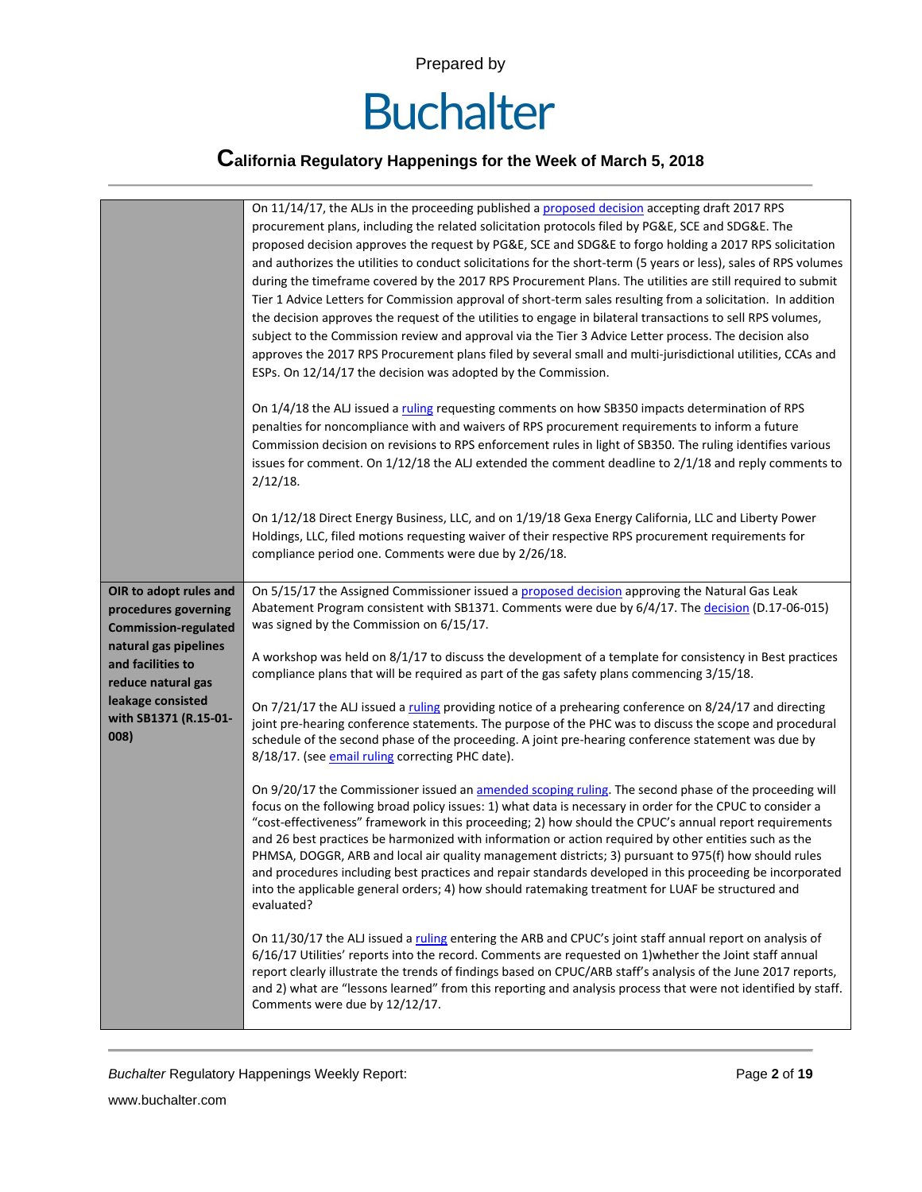

|                               | On 11/14/17, the ALJs in the proceeding published a proposed decision accepting draft 2017 RPS                                                          |
|-------------------------------|---------------------------------------------------------------------------------------------------------------------------------------------------------|
|                               | procurement plans, including the related solicitation protocols filed by PG&E, SCE and SDG&E. The                                                       |
|                               | proposed decision approves the request by PG&E, SCE and SDG&E to forgo holding a 2017 RPS solicitation                                                  |
|                               | and authorizes the utilities to conduct solicitations for the short-term (5 years or less), sales of RPS volumes                                        |
|                               | during the timeframe covered by the 2017 RPS Procurement Plans. The utilities are still required to submit                                              |
|                               | Tier 1 Advice Letters for Commission approval of short-term sales resulting from a solicitation. In addition                                            |
|                               | the decision approves the request of the utilities to engage in bilateral transactions to sell RPS volumes,                                             |
|                               | subject to the Commission review and approval via the Tier 3 Advice Letter process. The decision also                                                   |
|                               | approves the 2017 RPS Procurement plans filed by several small and multi-jurisdictional utilities, CCAs and                                             |
|                               | ESPs. On 12/14/17 the decision was adopted by the Commission.                                                                                           |
|                               |                                                                                                                                                         |
|                               | On 1/4/18 the ALJ issued a ruling requesting comments on how SB350 impacts determination of RPS                                                         |
|                               | penalties for noncompliance with and waivers of RPS procurement requirements to inform a future                                                         |
|                               | Commission decision on revisions to RPS enforcement rules in light of SB350. The ruling identifies various                                              |
|                               | issues for comment. On 1/12/18 the ALJ extended the comment deadline to 2/1/18 and reply comments to                                                    |
|                               | $2/12/18$ .                                                                                                                                             |
|                               |                                                                                                                                                         |
|                               | On 1/12/18 Direct Energy Business, LLC, and on 1/19/18 Gexa Energy California, LLC and Liberty Power                                                    |
|                               | Holdings, LLC, filed motions requesting waiver of their respective RPS procurement requirements for                                                     |
|                               | compliance period one. Comments were due by 2/26/18.                                                                                                    |
|                               |                                                                                                                                                         |
| OIR to adopt rules and        | On 5/15/17 the Assigned Commissioner issued a proposed decision approving the Natural Gas Leak                                                          |
| procedures governing          | Abatement Program consistent with SB1371. Comments were due by 6/4/17. The decision (D.17-06-015)                                                       |
| <b>Commission-regulated</b>   | was signed by the Commission on 6/15/17.                                                                                                                |
|                               |                                                                                                                                                         |
| natural gas pipelines         |                                                                                                                                                         |
| and facilities to             | A workshop was held on 8/1/17 to discuss the development of a template for consistency in Best practices                                                |
| reduce natural gas            | compliance plans that will be required as part of the gas safety plans commencing 3/15/18.                                                              |
| leakage consisted             |                                                                                                                                                         |
|                               | On 7/21/17 the ALJ issued a ruling providing notice of a prehearing conference on 8/24/17 and directing                                                 |
| with SB1371 (R.15-01-<br>008) | joint pre-hearing conference statements. The purpose of the PHC was to discuss the scope and procedural                                                 |
|                               | schedule of the second phase of the proceeding. A joint pre-hearing conference statement was due by<br>8/18/17. (see email ruling correcting PHC date). |
|                               |                                                                                                                                                         |
|                               | On 9/20/17 the Commissioner issued an amended scoping ruling. The second phase of the proceeding will                                                   |
|                               | focus on the following broad policy issues: 1) what data is necessary in order for the CPUC to consider a                                               |
|                               | "cost-effectiveness" framework in this proceeding; 2) how should the CPUC's annual report requirements                                                  |
|                               | and 26 best practices be harmonized with information or action required by other entities such as the                                                   |
|                               | PHMSA, DOGGR, ARB and local air quality management districts; 3) pursuant to 975(f) how should rules                                                    |
|                               | and procedures including best practices and repair standards developed in this proceeding be incorporated                                               |
|                               | into the applicable general orders; 4) how should ratemaking treatment for LUAF be structured and                                                       |
|                               | evaluated?                                                                                                                                              |
|                               | On 11/30/17 the ALJ issued a ruling entering the ARB and CPUC's joint staff annual report on analysis of                                                |
|                               | 6/16/17 Utilities' reports into the record. Comments are requested on 1) whether the Joint staff annual                                                 |
|                               | report clearly illustrate the trends of findings based on CPUC/ARB staff's analysis of the June 2017 reports,                                           |
|                               | and 2) what are "lessons learned" from this reporting and analysis process that were not identified by staff.                                           |
|                               | Comments were due by 12/12/17.                                                                                                                          |

**Buchalter Regulatory Happenings Weekly Report:** Page 2 of 19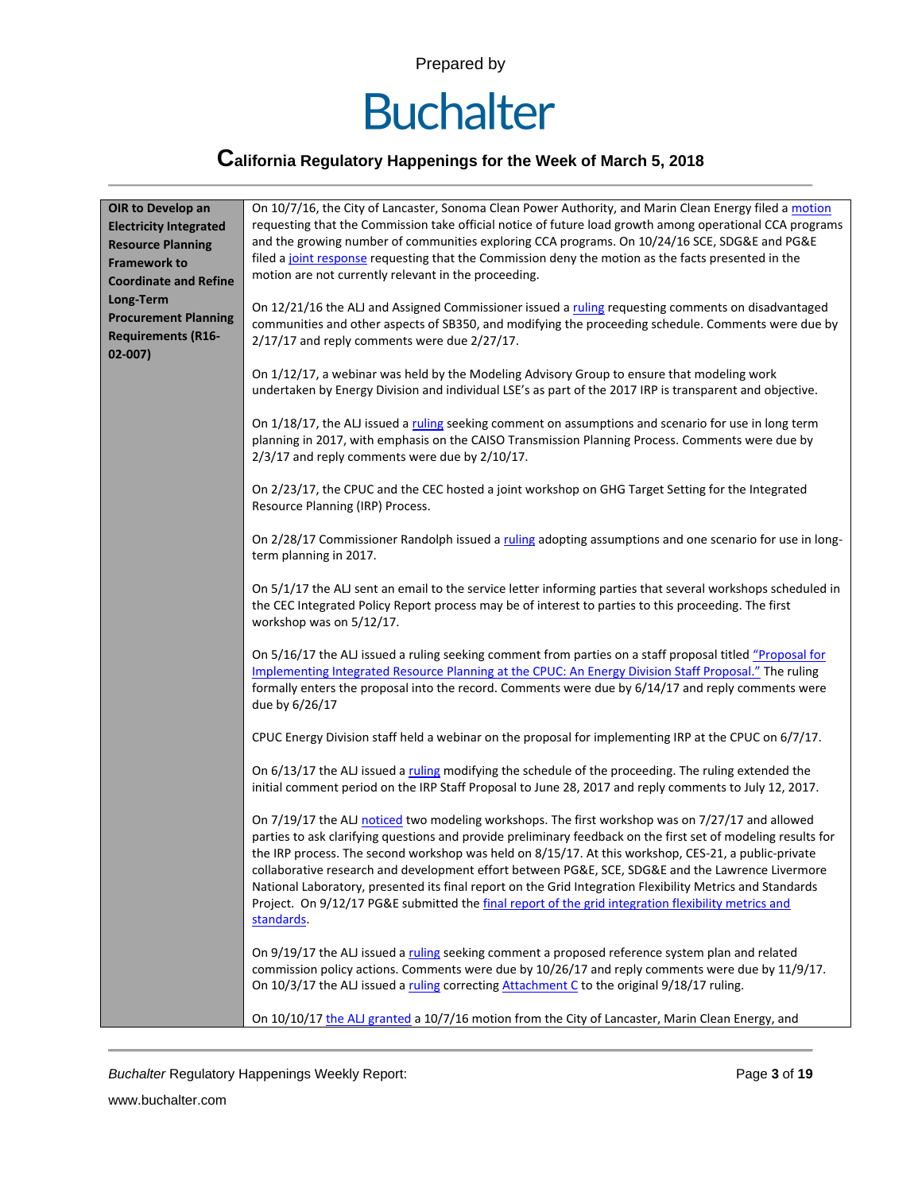

# **California Regulatory Happenings for the Week of March 5, 2018**

| OIR to Develop an<br><b>Electricity Integrated</b><br><b>Resource Planning</b><br><b>Framework to</b><br><b>Coordinate and Refine</b><br>Long-Term<br><b>Procurement Planning</b><br><b>Requirements (R16-</b><br>$02 - 007$ | On 10/7/16, the City of Lancaster, Sonoma Clean Power Authority, and Marin Clean Energy filed a motion<br>requesting that the Commission take official notice of future load growth among operational CCA programs<br>and the growing number of communities exploring CCA programs. On 10/24/16 SCE, SDG&E and PG&E<br>filed a joint response requesting that the Commission deny the motion as the facts presented in the<br>motion are not currently relevant in the proceeding.<br>On 12/21/16 the ALJ and Assigned Commissioner issued a ruling requesting comments on disadvantaged<br>communities and other aspects of SB350, and modifying the proceeding schedule. Comments were due by<br>$2/17/17$ and reply comments were due $2/27/17$ . |
|------------------------------------------------------------------------------------------------------------------------------------------------------------------------------------------------------------------------------|------------------------------------------------------------------------------------------------------------------------------------------------------------------------------------------------------------------------------------------------------------------------------------------------------------------------------------------------------------------------------------------------------------------------------------------------------------------------------------------------------------------------------------------------------------------------------------------------------------------------------------------------------------------------------------------------------------------------------------------------------|
|                                                                                                                                                                                                                              | On 1/12/17, a webinar was held by the Modeling Advisory Group to ensure that modeling work<br>undertaken by Energy Division and individual LSE's as part of the 2017 IRP is transparent and objective.                                                                                                                                                                                                                                                                                                                                                                                                                                                                                                                                               |
|                                                                                                                                                                                                                              | On 1/18/17, the ALJ issued a ruling seeking comment on assumptions and scenario for use in long term<br>planning in 2017, with emphasis on the CAISO Transmission Planning Process. Comments were due by<br>$2/3/17$ and reply comments were due by $2/10/17$ .                                                                                                                                                                                                                                                                                                                                                                                                                                                                                      |
|                                                                                                                                                                                                                              | On 2/23/17, the CPUC and the CEC hosted a joint workshop on GHG Target Setting for the Integrated<br>Resource Planning (IRP) Process.                                                                                                                                                                                                                                                                                                                                                                                                                                                                                                                                                                                                                |
|                                                                                                                                                                                                                              | On 2/28/17 Commissioner Randolph issued a ruling adopting assumptions and one scenario for use in long-<br>term planning in 2017.                                                                                                                                                                                                                                                                                                                                                                                                                                                                                                                                                                                                                    |
|                                                                                                                                                                                                                              | On 5/1/17 the ALJ sent an email to the service letter informing parties that several workshops scheduled in<br>the CEC Integrated Policy Report process may be of interest to parties to this proceeding. The first<br>workshop was on 5/12/17.                                                                                                                                                                                                                                                                                                                                                                                                                                                                                                      |
|                                                                                                                                                                                                                              | On 5/16/17 the ALJ issued a ruling seeking comment from parties on a staff proposal titled "Proposal for<br>Implementing Integrated Resource Planning at the CPUC: An Energy Division Staff Proposal." The ruling<br>formally enters the proposal into the record. Comments were due by 6/14/17 and reply comments were<br>due by 6/26/17                                                                                                                                                                                                                                                                                                                                                                                                            |
|                                                                                                                                                                                                                              | CPUC Energy Division staff held a webinar on the proposal for implementing IRP at the CPUC on 6/7/17.                                                                                                                                                                                                                                                                                                                                                                                                                                                                                                                                                                                                                                                |
|                                                                                                                                                                                                                              | On 6/13/17 the ALJ issued a ruling modifying the schedule of the proceeding. The ruling extended the<br>initial comment period on the IRP Staff Proposal to June 28, 2017 and reply comments to July 12, 2017.                                                                                                                                                                                                                                                                                                                                                                                                                                                                                                                                       |
|                                                                                                                                                                                                                              | On 7/19/17 the ALJ noticed two modeling workshops. The first workshop was on 7/27/17 and allowed<br>parties to ask clarifying questions and provide preliminary feedback on the first set of modeling results for<br>the IRP process. The second workshop was held on 8/15/17. At this workshop, CES-21, a public-private<br>collaborative research and development effort between PG&E, SCE, SDG&E and the Lawrence Livermore<br>National Laboratory, presented its final report on the Grid Integration Flexibility Metrics and Standards<br>Project. On 9/12/17 PG&E submitted the final report of the grid integration flexibility metrics and<br>standards.                                                                                     |
|                                                                                                                                                                                                                              | On 9/19/17 the ALJ issued a ruling seeking comment a proposed reference system plan and related<br>commission policy actions. Comments were due by 10/26/17 and reply comments were due by 11/9/17.<br>On 10/3/17 the ALJ issued a ruling correcting Attachment C to the original 9/18/17 ruling.                                                                                                                                                                                                                                                                                                                                                                                                                                                    |
|                                                                                                                                                                                                                              | On 10/10/17 the ALJ granted a 10/7/16 motion from the City of Lancaster, Marin Clean Energy, and                                                                                                                                                                                                                                                                                                                                                                                                                                                                                                                                                                                                                                                     |

**Buchalter Regulatory Happenings Weekly Report:** Page 3 of 19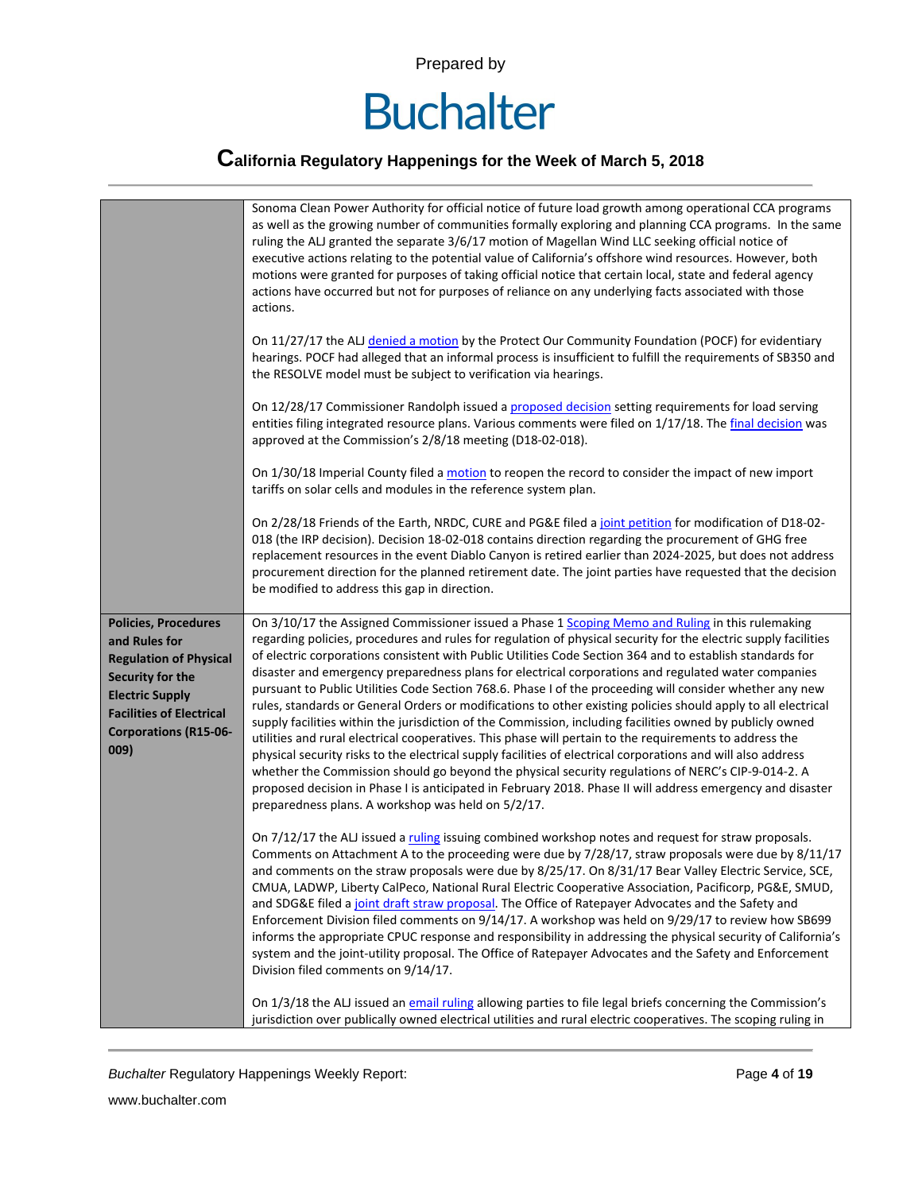

|                                                                                                                                                                                                        | Sonoma Clean Power Authority for official notice of future load growth among operational CCA programs<br>as well as the growing number of communities formally exploring and planning CCA programs. In the same<br>ruling the ALJ granted the separate 3/6/17 motion of Magellan Wind LLC seeking official notice of<br>executive actions relating to the potential value of California's offshore wind resources. However, both<br>motions were granted for purposes of taking official notice that certain local, state and federal agency<br>actions have occurred but not for purposes of reliance on any underlying facts associated with those<br>actions.                                                                                                                                                                                                                                                                                                                                                                                                                                                                                                                                                                                                                       |
|--------------------------------------------------------------------------------------------------------------------------------------------------------------------------------------------------------|----------------------------------------------------------------------------------------------------------------------------------------------------------------------------------------------------------------------------------------------------------------------------------------------------------------------------------------------------------------------------------------------------------------------------------------------------------------------------------------------------------------------------------------------------------------------------------------------------------------------------------------------------------------------------------------------------------------------------------------------------------------------------------------------------------------------------------------------------------------------------------------------------------------------------------------------------------------------------------------------------------------------------------------------------------------------------------------------------------------------------------------------------------------------------------------------------------------------------------------------------------------------------------------|
|                                                                                                                                                                                                        | On 11/27/17 the ALJ denied a motion by the Protect Our Community Foundation (POCF) for evidentiary<br>hearings. POCF had alleged that an informal process is insufficient to fulfill the requirements of SB350 and<br>the RESOLVE model must be subject to verification via hearings.                                                                                                                                                                                                                                                                                                                                                                                                                                                                                                                                                                                                                                                                                                                                                                                                                                                                                                                                                                                                  |
|                                                                                                                                                                                                        | On 12/28/17 Commissioner Randolph issued a proposed decision setting requirements for load serving<br>entities filing integrated resource plans. Various comments were filed on 1/17/18. The final decision was<br>approved at the Commission's 2/8/18 meeting (D18-02-018).                                                                                                                                                                                                                                                                                                                                                                                                                                                                                                                                                                                                                                                                                                                                                                                                                                                                                                                                                                                                           |
|                                                                                                                                                                                                        | On 1/30/18 Imperial County filed a motion to reopen the record to consider the impact of new import<br>tariffs on solar cells and modules in the reference system plan.                                                                                                                                                                                                                                                                                                                                                                                                                                                                                                                                                                                                                                                                                                                                                                                                                                                                                                                                                                                                                                                                                                                |
|                                                                                                                                                                                                        | On 2/28/18 Friends of the Earth, NRDC, CURE and PG&E filed a joint petition for modification of D18-02-<br>018 (the IRP decision). Decision 18-02-018 contains direction regarding the procurement of GHG free<br>replacement resources in the event Diablo Canyon is retired earlier than 2024-2025, but does not address<br>procurement direction for the planned retirement date. The joint parties have requested that the decision<br>be modified to address this gap in direction.                                                                                                                                                                                                                                                                                                                                                                                                                                                                                                                                                                                                                                                                                                                                                                                               |
| <b>Policies, Procedures</b><br>and Rules for<br><b>Regulation of Physical</b><br>Security for the<br><b>Electric Supply</b><br><b>Facilities of Electrical</b><br><b>Corporations (R15-06-</b><br>009) | On 3/10/17 the Assigned Commissioner issued a Phase 1 Scoping Memo and Ruling in this rulemaking<br>regarding policies, procedures and rules for regulation of physical security for the electric supply facilities<br>of electric corporations consistent with Public Utilities Code Section 364 and to establish standards for<br>disaster and emergency preparedness plans for electrical corporations and regulated water companies<br>pursuant to Public Utilities Code Section 768.6. Phase I of the proceeding will consider whether any new<br>rules, standards or General Orders or modifications to other existing policies should apply to all electrical<br>supply facilities within the jurisdiction of the Commission, including facilities owned by publicly owned<br>utilities and rural electrical cooperatives. This phase will pertain to the requirements to address the<br>physical security risks to the electrical supply facilities of electrical corporations and will also address<br>whether the Commission should go beyond the physical security regulations of NERC's CIP-9-014-2. A<br>proposed decision in Phase I is anticipated in February 2018. Phase II will address emergency and disaster<br>preparedness plans. A workshop was held on 5/2/17. |
|                                                                                                                                                                                                        | On 7/12/17 the ALJ issued a ruling issuing combined workshop notes and request for straw proposals.<br>Comments on Attachment A to the proceeding were due by 7/28/17, straw proposals were due by 8/11/17<br>and comments on the straw proposals were due by 8/25/17. On 8/31/17 Bear Valley Electric Service, SCE,<br>CMUA, LADWP, Liberty CalPeco, National Rural Electric Cooperative Association, Pacificorp, PG&E, SMUD,<br>and SDG&E filed a joint draft straw proposal. The Office of Ratepayer Advocates and the Safety and<br>Enforcement Division filed comments on 9/14/17. A workshop was held on 9/29/17 to review how SB699<br>informs the appropriate CPUC response and responsibility in addressing the physical security of California's<br>system and the joint-utility proposal. The Office of Ratepayer Advocates and the Safety and Enforcement<br>Division filed comments on 9/14/17.                                                                                                                                                                                                                                                                                                                                                                           |
|                                                                                                                                                                                                        | On 1/3/18 the ALJ issued an email ruling allowing parties to file legal briefs concerning the Commission's<br>jurisdiction over publically owned electrical utilities and rural electric cooperatives. The scoping ruling in                                                                                                                                                                                                                                                                                                                                                                                                                                                                                                                                                                                                                                                                                                                                                                                                                                                                                                                                                                                                                                                           |

**Buchalter Regulatory Happenings Weekly Report:** Page 4 of **19** Page 4 of **19**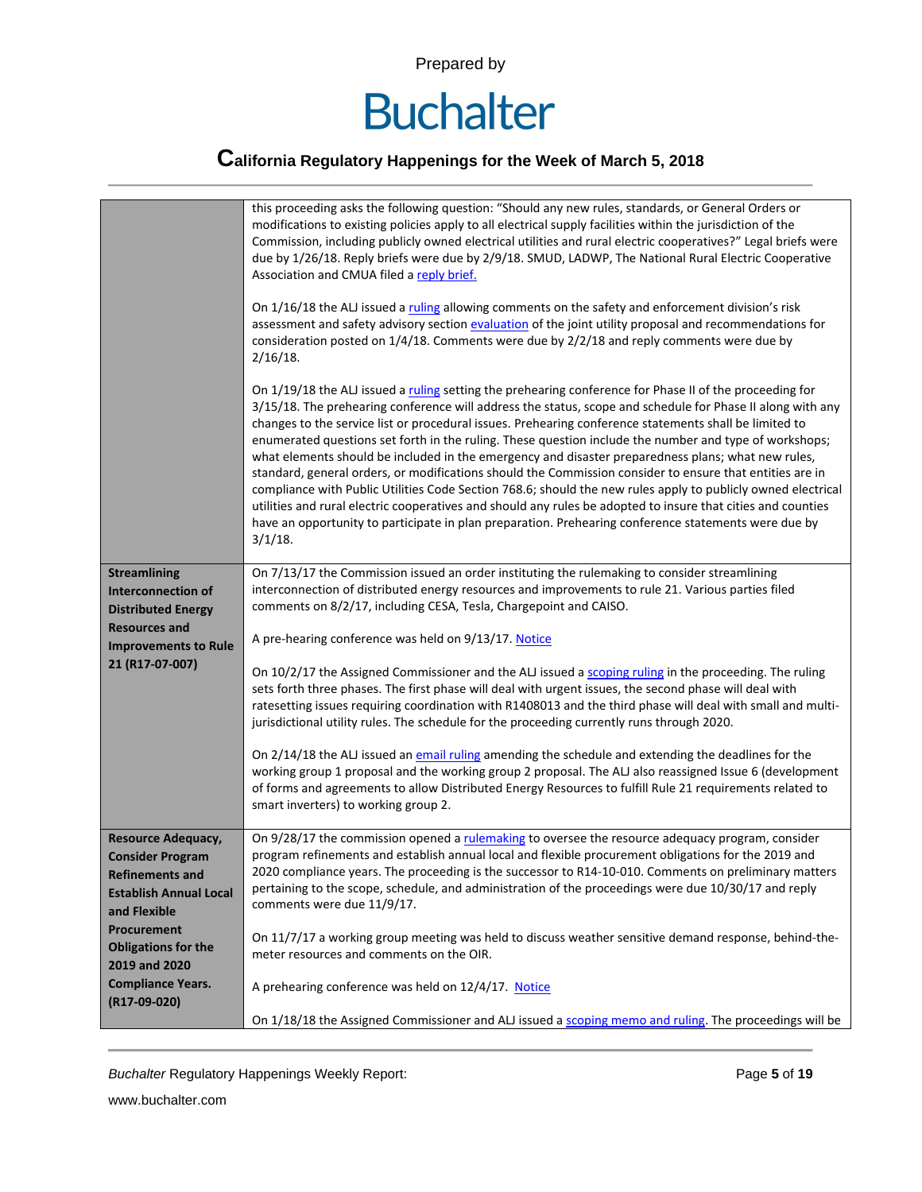

|                                                         | this proceeding asks the following question: "Should any new rules, standards, or General Orders or<br>modifications to existing policies apply to all electrical supply facilities within the jurisdiction of the<br>Commission, including publicly owned electrical utilities and rural electric cooperatives?" Legal briefs were<br>due by 1/26/18. Reply briefs were due by 2/9/18. SMUD, LADWP, The National Rural Electric Cooperative<br>Association and CMUA filed a reply brief.<br>On 1/16/18 the ALJ issued a ruling allowing comments on the safety and enforcement division's risk<br>assessment and safety advisory section evaluation of the joint utility proposal and recommendations for<br>consideration posted on 1/4/18. Comments were due by 2/2/18 and reply comments were due by<br>$2/16/18$ .                                                                                                                                                                                           |
|---------------------------------------------------------|-------------------------------------------------------------------------------------------------------------------------------------------------------------------------------------------------------------------------------------------------------------------------------------------------------------------------------------------------------------------------------------------------------------------------------------------------------------------------------------------------------------------------------------------------------------------------------------------------------------------------------------------------------------------------------------------------------------------------------------------------------------------------------------------------------------------------------------------------------------------------------------------------------------------------------------------------------------------------------------------------------------------|
|                                                         | On 1/19/18 the ALJ issued a ruling setting the prehearing conference for Phase II of the proceeding for<br>3/15/18. The prehearing conference will address the status, scope and schedule for Phase II along with any<br>changes to the service list or procedural issues. Prehearing conference statements shall be limited to<br>enumerated questions set forth in the ruling. These question include the number and type of workshops;<br>what elements should be included in the emergency and disaster preparedness plans; what new rules,<br>standard, general orders, or modifications should the Commission consider to ensure that entities are in<br>compliance with Public Utilities Code Section 768.6; should the new rules apply to publicly owned electrical<br>utilities and rural electric cooperatives and should any rules be adopted to insure that cities and counties<br>have an opportunity to participate in plan preparation. Prehearing conference statements were due by<br>$3/1/18$ . |
| <b>Streamlining</b>                                     | On 7/13/17 the Commission issued an order instituting the rulemaking to consider streamlining                                                                                                                                                                                                                                                                                                                                                                                                                                                                                                                                                                                                                                                                                                                                                                                                                                                                                                                     |
| Interconnection of<br><b>Distributed Energy</b>         | interconnection of distributed energy resources and improvements to rule 21. Various parties filed<br>comments on 8/2/17, including CESA, Tesla, Chargepoint and CAISO.                                                                                                                                                                                                                                                                                                                                                                                                                                                                                                                                                                                                                                                                                                                                                                                                                                           |
| <b>Resources and</b>                                    |                                                                                                                                                                                                                                                                                                                                                                                                                                                                                                                                                                                                                                                                                                                                                                                                                                                                                                                                                                                                                   |
| <b>Improvements to Rule</b>                             | A pre-hearing conference was held on 9/13/17. Notice                                                                                                                                                                                                                                                                                                                                                                                                                                                                                                                                                                                                                                                                                                                                                                                                                                                                                                                                                              |
| 21 (R17-07-007)                                         | On 10/2/17 the Assigned Commissioner and the ALJ issued a scoping ruling in the proceeding. The ruling<br>sets forth three phases. The first phase will deal with urgent issues, the second phase will deal with<br>ratesetting issues requiring coordination with R1408013 and the third phase will deal with small and multi-<br>jurisdictional utility rules. The schedule for the proceeding currently runs through 2020.                                                                                                                                                                                                                                                                                                                                                                                                                                                                                                                                                                                     |
|                                                         | On 2/14/18 the ALJ issued an email ruling amending the schedule and extending the deadlines for the<br>working group 1 proposal and the working group 2 proposal. The ALJ also reassigned Issue 6 (development<br>of forms and agreements to allow Distributed Energy Resources to fulfill Rule 21 requirements related to<br>smart inverters) to working group 2.                                                                                                                                                                                                                                                                                                                                                                                                                                                                                                                                                                                                                                                |
| Resource Adequacy,                                      | On 9/28/17 the commission opened a rulemaking to oversee the resource adequacy program, consider                                                                                                                                                                                                                                                                                                                                                                                                                                                                                                                                                                                                                                                                                                                                                                                                                                                                                                                  |
| <b>Consider Program</b>                                 | program refinements and establish annual local and flexible procurement obligations for the 2019 and<br>2020 compliance years. The proceeding is the successor to R14-10-010. Comments on preliminary matters                                                                                                                                                                                                                                                                                                                                                                                                                                                                                                                                                                                                                                                                                                                                                                                                     |
| <b>Refinements and</b><br><b>Establish Annual Local</b> | pertaining to the scope, schedule, and administration of the proceedings were due 10/30/17 and reply                                                                                                                                                                                                                                                                                                                                                                                                                                                                                                                                                                                                                                                                                                                                                                                                                                                                                                              |
| and Flexible                                            | comments were due 11/9/17.                                                                                                                                                                                                                                                                                                                                                                                                                                                                                                                                                                                                                                                                                                                                                                                                                                                                                                                                                                                        |
| <b>Procurement</b>                                      | On 11/7/17 a working group meeting was held to discuss weather sensitive demand response, behind-the-                                                                                                                                                                                                                                                                                                                                                                                                                                                                                                                                                                                                                                                                                                                                                                                                                                                                                                             |
| <b>Obligations for the</b>                              | meter resources and comments on the OIR.                                                                                                                                                                                                                                                                                                                                                                                                                                                                                                                                                                                                                                                                                                                                                                                                                                                                                                                                                                          |
| 2019 and 2020                                           |                                                                                                                                                                                                                                                                                                                                                                                                                                                                                                                                                                                                                                                                                                                                                                                                                                                                                                                                                                                                                   |
| <b>Compliance Years.</b><br>(R17-09-020)                | A prehearing conference was held on 12/4/17. Notice                                                                                                                                                                                                                                                                                                                                                                                                                                                                                                                                                                                                                                                                                                                                                                                                                                                                                                                                                               |
|                                                         | On 1/18/18 the Assigned Commissioner and ALJ issued a scoping memo and ruling. The proceedings will be                                                                                                                                                                                                                                                                                                                                                                                                                                                                                                                                                                                                                                                                                                                                                                                                                                                                                                            |
|                                                         |                                                                                                                                                                                                                                                                                                                                                                                                                                                                                                                                                                                                                                                                                                                                                                                                                                                                                                                                                                                                                   |

**Buchalter Regulatory Happenings Weekly Report:** Page 5 of 19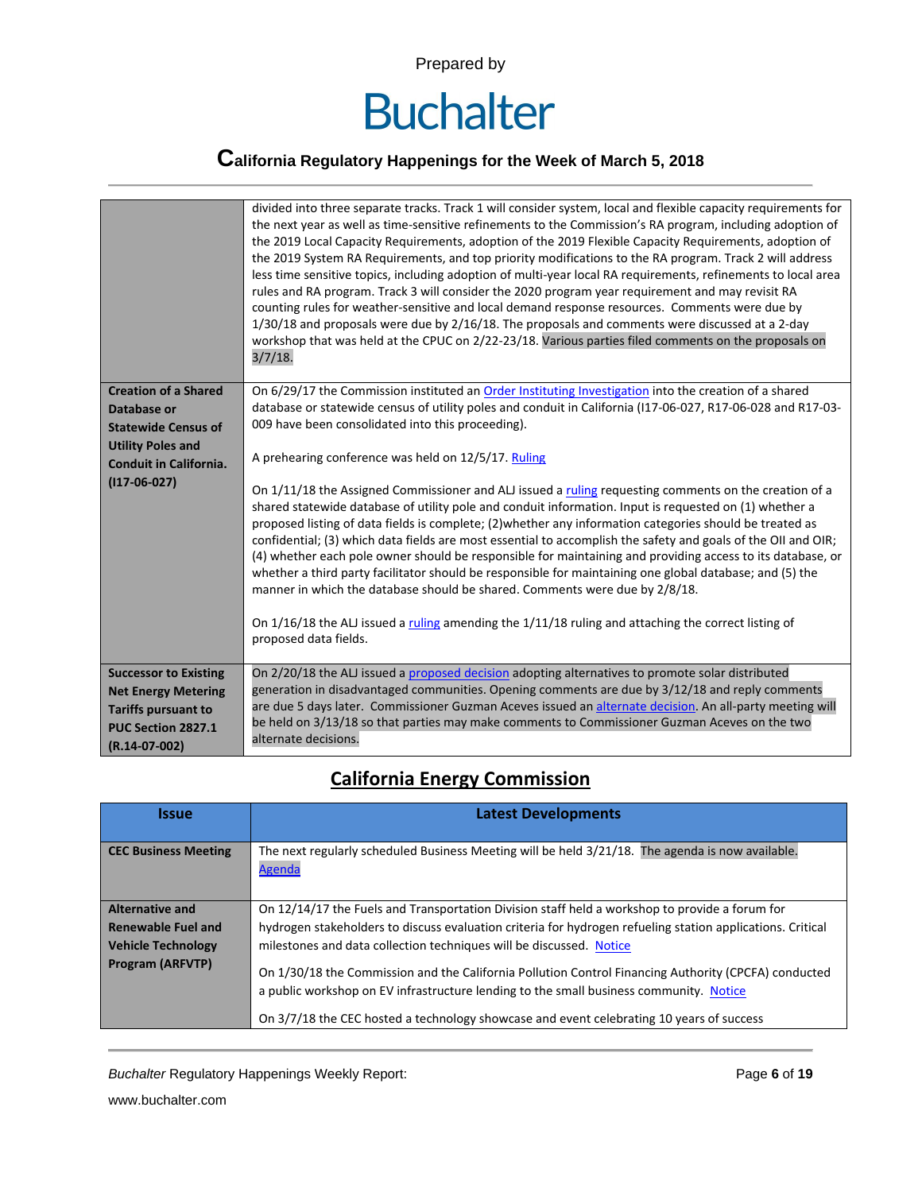

|                                                                                                                                                         | divided into three separate tracks. Track 1 will consider system, local and flexible capacity requirements for<br>the next year as well as time-sensitive refinements to the Commission's RA program, including adoption of<br>the 2019 Local Capacity Requirements, adoption of the 2019 Flexible Capacity Requirements, adoption of<br>the 2019 System RA Requirements, and top priority modifications to the RA program. Track 2 will address<br>less time sensitive topics, including adoption of multi-year local RA requirements, refinements to local area<br>rules and RA program. Track 3 will consider the 2020 program year requirement and may revisit RA<br>counting rules for weather-sensitive and local demand response resources. Comments were due by<br>1/30/18 and proposals were due by 2/16/18. The proposals and comments were discussed at a 2-day<br>workshop that was held at the CPUC on 2/22-23/18. Various parties filed comments on the proposals on<br>3/7/18.                                                                                                                                                                                                                                 |
|---------------------------------------------------------------------------------------------------------------------------------------------------------|-------------------------------------------------------------------------------------------------------------------------------------------------------------------------------------------------------------------------------------------------------------------------------------------------------------------------------------------------------------------------------------------------------------------------------------------------------------------------------------------------------------------------------------------------------------------------------------------------------------------------------------------------------------------------------------------------------------------------------------------------------------------------------------------------------------------------------------------------------------------------------------------------------------------------------------------------------------------------------------------------------------------------------------------------------------------------------------------------------------------------------------------------------------------------------------------------------------------------------|
| <b>Creation of a Shared</b><br>Database or<br><b>Statewide Census of</b><br><b>Utility Poles and</b><br><b>Conduit in California.</b><br>$(117-06-027)$ | On 6/29/17 the Commission instituted an Order Instituting Investigation into the creation of a shared<br>database or statewide census of utility poles and conduit in California (117-06-027, R17-06-028 and R17-03-<br>009 have been consolidated into this proceeding).<br>A prehearing conference was held on 12/5/17. Ruling<br>On 1/11/18 the Assigned Commissioner and ALJ issued a ruling requesting comments on the creation of a<br>shared statewide database of utility pole and conduit information. Input is requested on (1) whether a<br>proposed listing of data fields is complete; (2) whether any information categories should be treated as<br>confidential; (3) which data fields are most essential to accomplish the safety and goals of the OII and OIR;<br>(4) whether each pole owner should be responsible for maintaining and providing access to its database, or<br>whether a third party facilitator should be responsible for maintaining one global database; and (5) the<br>manner in which the database should be shared. Comments were due by 2/8/18.<br>On $1/16/18$ the ALJ issued a ruling amending the $1/11/18$ ruling and attaching the correct listing of<br>proposed data fields. |
| <b>Successor to Existing</b><br><b>Net Energy Metering</b><br><b>Tariffs pursuant to</b><br>PUC Section 2827.1<br>$(R.14-07-002)$                       | On 2/20/18 the ALJ issued a proposed decision adopting alternatives to promote solar distributed<br>generation in disadvantaged communities. Opening comments are due by 3/12/18 and reply comments<br>are due 5 days later. Commissioner Guzman Aceves issued an alternate decision. An all-party meeting will<br>be held on 3/13/18 so that parties may make comments to Commissioner Guzman Aceves on the two<br>alternate decisions.                                                                                                                                                                                                                                                                                                                                                                                                                                                                                                                                                                                                                                                                                                                                                                                      |

#### **California Energy Commission**

| <b>Issue</b>                | <b>Latest Developments</b>                                                                                                                                                                                                                                                                 |
|-----------------------------|--------------------------------------------------------------------------------------------------------------------------------------------------------------------------------------------------------------------------------------------------------------------------------------------|
| <b>CEC Business Meeting</b> | The next regularly scheduled Business Meeting will be held 3/21/18. The agenda is now available.<br>Agenda                                                                                                                                                                                 |
| <b>Alternative and</b>      | On 12/14/17 the Fuels and Transportation Division staff held a workshop to provide a forum for                                                                                                                                                                                             |
| <b>Renewable Fuel and</b>   | hydrogen stakeholders to discuss evaluation criteria for hydrogen refueling station applications. Critical                                                                                                                                                                                 |
| <b>Vehicle Technology</b>   | milestones and data collection techniques will be discussed. Notice                                                                                                                                                                                                                        |
| <b>Program (ARFVTP)</b>     | On 1/30/18 the Commission and the California Pollution Control Financing Authority (CPCFA) conducted<br>a public workshop on EV infrastructure lending to the small business community. Notice<br>On 3/7/18 the CEC hosted a technology showcase and event celebrating 10 years of success |

**Buchalter Regulatory Happenings Weekly Report:** Page 6 of 19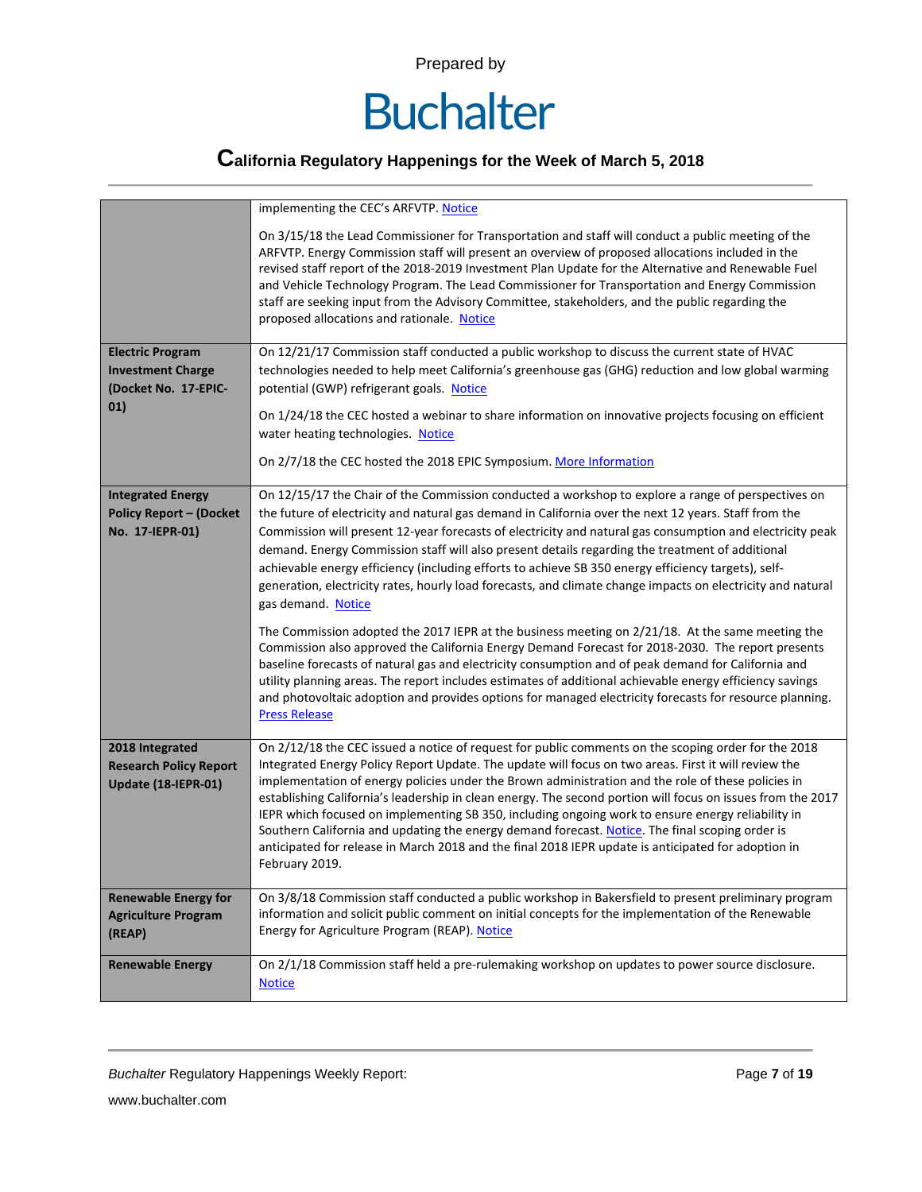

|                                | implementing the CEC's ARFVTP. Notice                                                                                                                                                                                                                                                                                                                                                                                                                                                                                                                            |
|--------------------------------|------------------------------------------------------------------------------------------------------------------------------------------------------------------------------------------------------------------------------------------------------------------------------------------------------------------------------------------------------------------------------------------------------------------------------------------------------------------------------------------------------------------------------------------------------------------|
|                                | On 3/15/18 the Lead Commissioner for Transportation and staff will conduct a public meeting of the<br>ARFVTP. Energy Commission staff will present an overview of proposed allocations included in the<br>revised staff report of the 2018-2019 Investment Plan Update for the Alternative and Renewable Fuel<br>and Vehicle Technology Program. The Lead Commissioner for Transportation and Energy Commission<br>staff are seeking input from the Advisory Committee, stakeholders, and the public regarding the<br>proposed allocations and rationale. Notice |
| <b>Electric Program</b>        | On 12/21/17 Commission staff conducted a public workshop to discuss the current state of HVAC                                                                                                                                                                                                                                                                                                                                                                                                                                                                    |
| <b>Investment Charge</b>       | technologies needed to help meet California's greenhouse gas (GHG) reduction and low global warming                                                                                                                                                                                                                                                                                                                                                                                                                                                              |
| (Docket No. 17-EPIC-           | potential (GWP) refrigerant goals. Notice                                                                                                                                                                                                                                                                                                                                                                                                                                                                                                                        |
| 01)                            | On 1/24/18 the CEC hosted a webinar to share information on innovative projects focusing on efficient                                                                                                                                                                                                                                                                                                                                                                                                                                                            |
|                                | water heating technologies. Notice                                                                                                                                                                                                                                                                                                                                                                                                                                                                                                                               |
|                                | On 2/7/18 the CEC hosted the 2018 EPIC Symposium. More Information                                                                                                                                                                                                                                                                                                                                                                                                                                                                                               |
| <b>Integrated Energy</b>       | On 12/15/17 the Chair of the Commission conducted a workshop to explore a range of perspectives on                                                                                                                                                                                                                                                                                                                                                                                                                                                               |
| <b>Policy Report - (Docket</b> | the future of electricity and natural gas demand in California over the next 12 years. Staff from the                                                                                                                                                                                                                                                                                                                                                                                                                                                            |
| No. 17-IEPR-01)                | Commission will present 12-year forecasts of electricity and natural gas consumption and electricity peak                                                                                                                                                                                                                                                                                                                                                                                                                                                        |
|                                | demand. Energy Commission staff will also present details regarding the treatment of additional                                                                                                                                                                                                                                                                                                                                                                                                                                                                  |
|                                | achievable energy efficiency (including efforts to achieve SB 350 energy efficiency targets), self-                                                                                                                                                                                                                                                                                                                                                                                                                                                              |
|                                | generation, electricity rates, hourly load forecasts, and climate change impacts on electricity and natural<br>gas demand. Notice                                                                                                                                                                                                                                                                                                                                                                                                                                |
|                                | The Commission adopted the 2017 IEPR at the business meeting on 2/21/18. At the same meeting the<br>Commission also approved the California Energy Demand Forecast for 2018-2030. The report presents<br>baseline forecasts of natural gas and electricity consumption and of peak demand for California and<br>utility planning areas. The report includes estimates of additional achievable energy efficiency savings<br>and photovoltaic adoption and provides options for managed electricity forecasts for resource planning.<br><b>Press Release</b>      |
| 2018 Integrated                | On 2/12/18 the CEC issued a notice of request for public comments on the scoping order for the 2018                                                                                                                                                                                                                                                                                                                                                                                                                                                              |
| <b>Research Policy Report</b>  | Integrated Energy Policy Report Update. The update will focus on two areas. First it will review the                                                                                                                                                                                                                                                                                                                                                                                                                                                             |
| Update (18-IEPR-01)            | implementation of energy policies under the Brown administration and the role of these policies in<br>establishing California's leadership in clean energy. The second portion will focus on issues from the 2017                                                                                                                                                                                                                                                                                                                                                |
|                                | IEPR which focused on implementing SB 350, including ongoing work to ensure energy reliability in                                                                                                                                                                                                                                                                                                                                                                                                                                                                |
|                                | Southern California and updating the energy demand forecast. Notice. The final scoping order is                                                                                                                                                                                                                                                                                                                                                                                                                                                                  |
|                                | anticipated for release in March 2018 and the final 2018 IEPR update is anticipated for adoption in                                                                                                                                                                                                                                                                                                                                                                                                                                                              |
|                                | February 2019.                                                                                                                                                                                                                                                                                                                                                                                                                                                                                                                                                   |
| <b>Renewable Energy for</b>    | On 3/8/18 Commission staff conducted a public workshop in Bakersfield to present preliminary program                                                                                                                                                                                                                                                                                                                                                                                                                                                             |
| <b>Agriculture Program</b>     | information and solicit public comment on initial concepts for the implementation of the Renewable                                                                                                                                                                                                                                                                                                                                                                                                                                                               |
| (REAP)                         | Energy for Agriculture Program (REAP). Notice                                                                                                                                                                                                                                                                                                                                                                                                                                                                                                                    |
| <b>Renewable Energy</b>        | On 2/1/18 Commission staff held a pre-rulemaking workshop on updates to power source disclosure.                                                                                                                                                                                                                                                                                                                                                                                                                                                                 |
|                                | <b>Notice</b>                                                                                                                                                                                                                                                                                                                                                                                                                                                                                                                                                    |
|                                |                                                                                                                                                                                                                                                                                                                                                                                                                                                                                                                                                                  |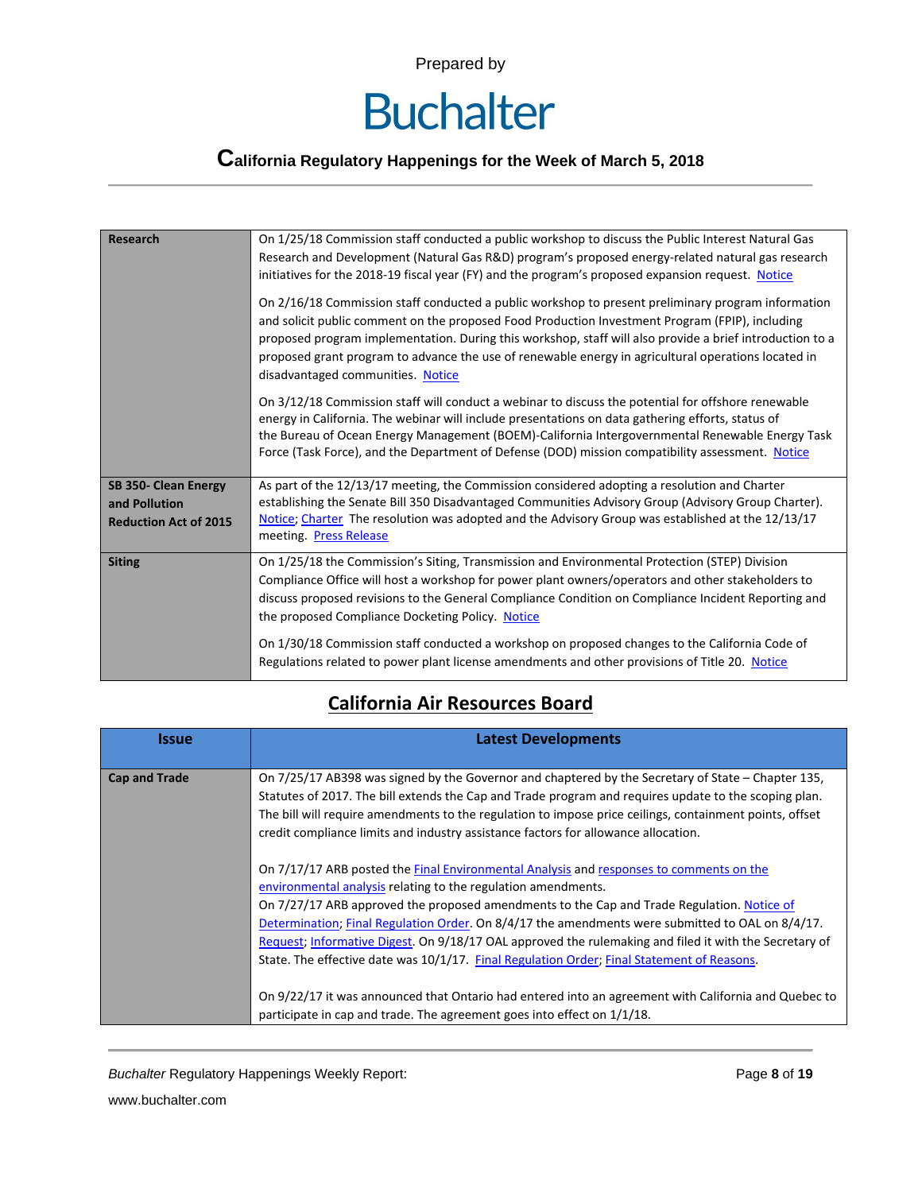# **Buchalter**

## **California Regulatory Happenings for the Week of March 5, 2018**

| <b>Research</b>                                                       | On 1/25/18 Commission staff conducted a public workshop to discuss the Public Interest Natural Gas<br>Research and Development (Natural Gas R&D) program's proposed energy-related natural gas research<br>initiatives for the 2018-19 fiscal year (FY) and the program's proposed expansion request. Notice<br>On 2/16/18 Commission staff conducted a public workshop to present preliminary program information<br>and solicit public comment on the proposed Food Production Investment Program (FPIP), including<br>proposed program implementation. During this workshop, staff will also provide a brief introduction to a<br>proposed grant program to advance the use of renewable energy in agricultural operations located in<br>disadvantaged communities. Notice |
|-----------------------------------------------------------------------|-------------------------------------------------------------------------------------------------------------------------------------------------------------------------------------------------------------------------------------------------------------------------------------------------------------------------------------------------------------------------------------------------------------------------------------------------------------------------------------------------------------------------------------------------------------------------------------------------------------------------------------------------------------------------------------------------------------------------------------------------------------------------------|
|                                                                       | On 3/12/18 Commission staff will conduct a webinar to discuss the potential for offshore renewable<br>energy in California. The webinar will include presentations on data gathering efforts, status of<br>the Bureau of Ocean Energy Management (BOEM)-California Intergovernmental Renewable Energy Task<br>Force (Task Force), and the Department of Defense (DOD) mission compatibility assessment. Notice                                                                                                                                                                                                                                                                                                                                                                |
| SB 350- Clean Energy<br>and Pollution<br><b>Reduction Act of 2015</b> | As part of the 12/13/17 meeting, the Commission considered adopting a resolution and Charter<br>establishing the Senate Bill 350 Disadvantaged Communities Advisory Group (Advisory Group Charter).<br>Notice; Charter The resolution was adopted and the Advisory Group was established at the 12/13/17<br>meeting. Press Release                                                                                                                                                                                                                                                                                                                                                                                                                                            |
| <b>Siting</b>                                                         | On 1/25/18 the Commission's Siting, Transmission and Environmental Protection (STEP) Division<br>Compliance Office will host a workshop for power plant owners/operators and other stakeholders to<br>discuss proposed revisions to the General Compliance Condition on Compliance Incident Reporting and<br>the proposed Compliance Docketing Policy. Notice                                                                                                                                                                                                                                                                                                                                                                                                                 |
|                                                                       | On 1/30/18 Commission staff conducted a workshop on proposed changes to the California Code of<br>Regulations related to power plant license amendments and other provisions of Title 20. Notice                                                                                                                                                                                                                                                                                                                                                                                                                                                                                                                                                                              |

#### **California Air Resources Board**

| <b>Issue</b>         | <b>Latest Developments</b>                                                                                                                                                                                                                                                                                                                                                                                                                                                                                                                                                                                                                                                                                                                            |
|----------------------|-------------------------------------------------------------------------------------------------------------------------------------------------------------------------------------------------------------------------------------------------------------------------------------------------------------------------------------------------------------------------------------------------------------------------------------------------------------------------------------------------------------------------------------------------------------------------------------------------------------------------------------------------------------------------------------------------------------------------------------------------------|
| <b>Cap and Trade</b> | On 7/25/17 AB398 was signed by the Governor and chaptered by the Secretary of State – Chapter 135,<br>Statutes of 2017. The bill extends the Cap and Trade program and requires update to the scoping plan.<br>The bill will require amendments to the regulation to impose price ceilings, containment points, offset<br>credit compliance limits and industry assistance factors for allowance allocation.                                                                                                                                                                                                                                                                                                                                          |
|                      | On 7/17/17 ARB posted the Final Environmental Analysis and responses to comments on the<br>environmental analysis relating to the regulation amendments.<br>On 7/27/17 ARB approved the proposed amendments to the Cap and Trade Regulation. Notice of<br>Determination; Final Regulation Order. On 8/4/17 the amendments were submitted to OAL on 8/4/17.<br>Request; Informative Digest. On 9/18/17 OAL approved the rulemaking and filed it with the Secretary of<br>State. The effective date was 10/1/17. Final Regulation Order; Final Statement of Reasons.<br>On 9/22/17 it was announced that Ontario had entered into an agreement with California and Quebec to<br>participate in cap and trade. The agreement goes into effect on 1/1/18. |

**Buchalter Regulatory Happenings Weekly Report:** Page 8 of 19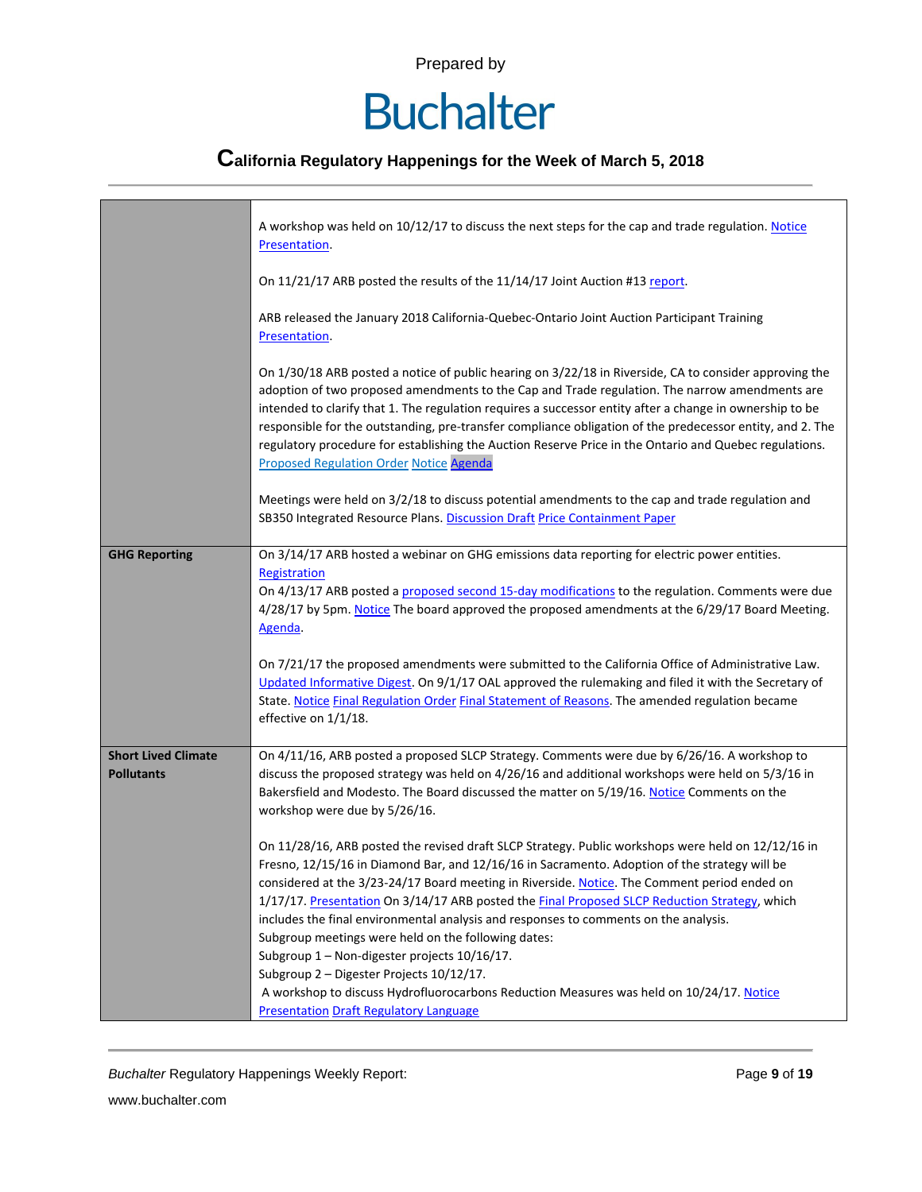# **Buchalter**

## **California Regulatory Happenings for the Week of March 5, 2018**

|                                                 | A workshop was held on 10/12/17 to discuss the next steps for the cap and trade regulation. Notice<br>Presentation.                                                                                                                                                                                                                                                                                                                                                                                                                                                                                                                             |
|-------------------------------------------------|-------------------------------------------------------------------------------------------------------------------------------------------------------------------------------------------------------------------------------------------------------------------------------------------------------------------------------------------------------------------------------------------------------------------------------------------------------------------------------------------------------------------------------------------------------------------------------------------------------------------------------------------------|
|                                                 | On 11/21/17 ARB posted the results of the 11/14/17 Joint Auction #13 report.                                                                                                                                                                                                                                                                                                                                                                                                                                                                                                                                                                    |
|                                                 | ARB released the January 2018 California-Quebec-Ontario Joint Auction Participant Training<br>Presentation.                                                                                                                                                                                                                                                                                                                                                                                                                                                                                                                                     |
|                                                 | On 1/30/18 ARB posted a notice of public hearing on 3/22/18 in Riverside, CA to consider approving the<br>adoption of two proposed amendments to the Cap and Trade regulation. The narrow amendments are<br>intended to clarify that 1. The regulation requires a successor entity after a change in ownership to be<br>responsible for the outstanding, pre-transfer compliance obligation of the predecessor entity, and 2. The<br>regulatory procedure for establishing the Auction Reserve Price in the Ontario and Quebec regulations.<br><b>Proposed Regulation Order Notice Agenda</b>                                                   |
|                                                 | Meetings were held on 3/2/18 to discuss potential amendments to the cap and trade regulation and<br>SB350 Integrated Resource Plans. Discussion Draft Price Containment Paper                                                                                                                                                                                                                                                                                                                                                                                                                                                                   |
| <b>GHG Reporting</b>                            | On 3/14/17 ARB hosted a webinar on GHG emissions data reporting for electric power entities.<br>Registration<br>On 4/13/17 ARB posted a proposed second 15-day modifications to the regulation. Comments were due<br>4/28/17 by 5pm. Notice The board approved the proposed amendments at the 6/29/17 Board Meeting.<br>Agenda.<br>On 7/21/17 the proposed amendments were submitted to the California Office of Administrative Law.                                                                                                                                                                                                            |
|                                                 | Updated Informative Digest. On 9/1/17 OAL approved the rulemaking and filed it with the Secretary of<br>State. Notice Final Regulation Order Final Statement of Reasons. The amended regulation became<br>effective on 1/1/18.                                                                                                                                                                                                                                                                                                                                                                                                                  |
| <b>Short Lived Climate</b><br><b>Pollutants</b> | On 4/11/16, ARB posted a proposed SLCP Strategy. Comments were due by 6/26/16. A workshop to<br>discuss the proposed strategy was held on 4/26/16 and additional workshops were held on 5/3/16 in<br>Bakersfield and Modesto. The Board discussed the matter on 5/19/16. Notice Comments on the<br>workshop were due by 5/26/16.                                                                                                                                                                                                                                                                                                                |
|                                                 | On 11/28/16, ARB posted the revised draft SLCP Strategy. Public workshops were held on 12/12/16 in<br>Fresno, 12/15/16 in Diamond Bar, and 12/16/16 in Sacramento. Adoption of the strategy will be<br>considered at the 3/23-24/17 Board meeting in Riverside. Notice. The Comment period ended on<br>1/17/17. Presentation On 3/14/17 ARB posted the Final Proposed SLCP Reduction Strategy, which<br>includes the final environmental analysis and responses to comments on the analysis.<br>Subgroup meetings were held on the following dates:<br>Subgroup 1 - Non-digester projects 10/16/17.<br>Subgroup 2 - Digester Projects 10/12/17. |
|                                                 | A workshop to discuss Hydrofluorocarbons Reduction Measures was held on 10/24/17. Notice<br><b>Presentation Draft Regulatory Language</b>                                                                                                                                                                                                                                                                                                                                                                                                                                                                                                       |

**Buchalter Regulatory Happenings Weekly Report:** Page 9 of 19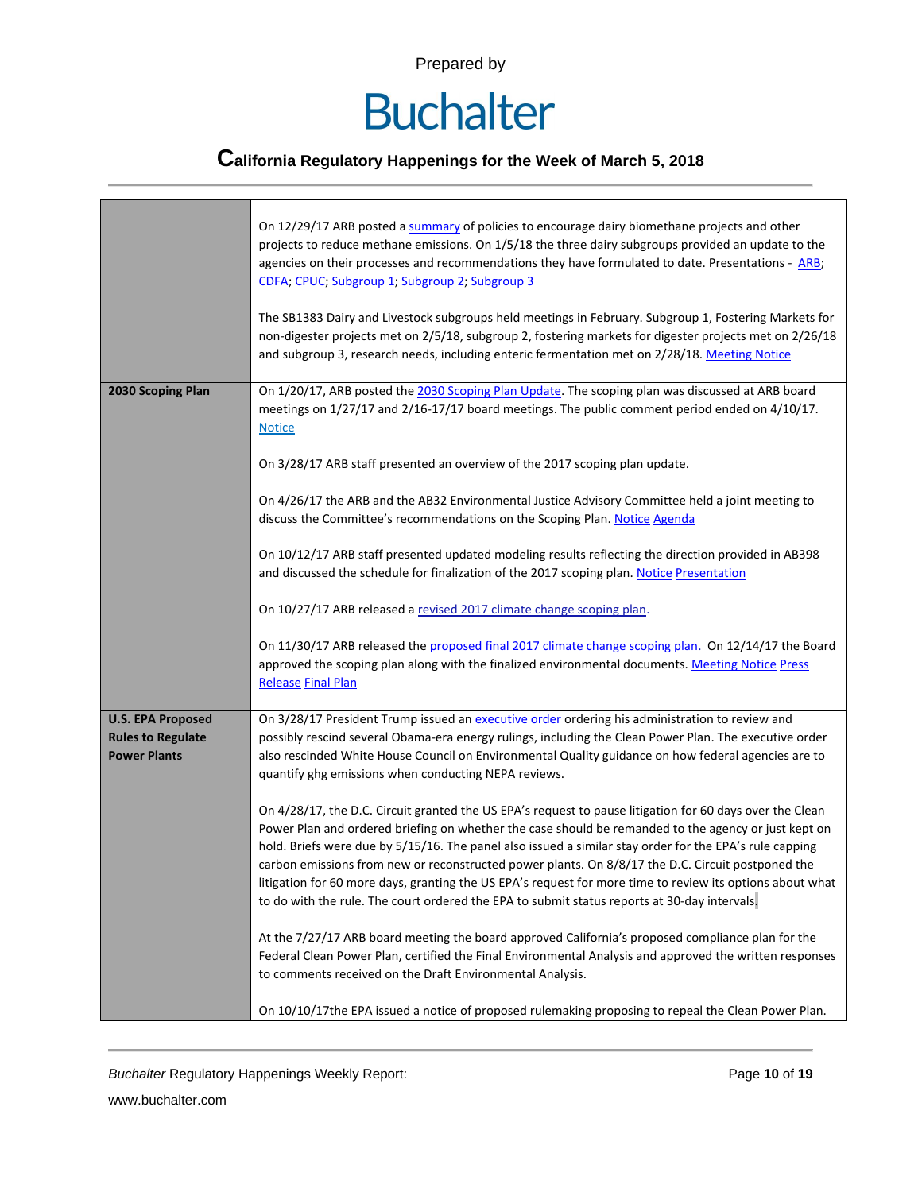

## **California Regulatory Happenings for the Week of March 5, 2018**

|                                                                             | On 12/29/17 ARB posted a summary of policies to encourage dairy biomethane projects and other<br>projects to reduce methane emissions. On 1/5/18 the three dairy subgroups provided an update to the<br>agencies on their processes and recommendations they have formulated to date. Presentations - ARB;<br>CDFA; CPUC; Subgroup 1; Subgroup 2; Subgroup 3<br>The SB1383 Dairy and Livestock subgroups held meetings in February. Subgroup 1, Fostering Markets for<br>non-digester projects met on 2/5/18, subgroup 2, fostering markets for digester projects met on 2/26/18<br>and subgroup 3, research needs, including enteric fermentation met on 2/28/18. Meeting Notice |
|-----------------------------------------------------------------------------|-----------------------------------------------------------------------------------------------------------------------------------------------------------------------------------------------------------------------------------------------------------------------------------------------------------------------------------------------------------------------------------------------------------------------------------------------------------------------------------------------------------------------------------------------------------------------------------------------------------------------------------------------------------------------------------|
| 2030 Scoping Plan                                                           | On 1/20/17, ARB posted the 2030 Scoping Plan Update. The scoping plan was discussed at ARB board<br>meetings on 1/27/17 and 2/16-17/17 board meetings. The public comment period ended on 4/10/17.<br><b>Notice</b>                                                                                                                                                                                                                                                                                                                                                                                                                                                               |
|                                                                             | On 3/28/17 ARB staff presented an overview of the 2017 scoping plan update.                                                                                                                                                                                                                                                                                                                                                                                                                                                                                                                                                                                                       |
|                                                                             | On 4/26/17 the ARB and the AB32 Environmental Justice Advisory Committee held a joint meeting to<br>discuss the Committee's recommendations on the Scoping Plan. Notice Agenda                                                                                                                                                                                                                                                                                                                                                                                                                                                                                                    |
|                                                                             | On 10/12/17 ARB staff presented updated modeling results reflecting the direction provided in AB398<br>and discussed the schedule for finalization of the 2017 scoping plan. Notice Presentation                                                                                                                                                                                                                                                                                                                                                                                                                                                                                  |
|                                                                             | On 10/27/17 ARB released a revised 2017 climate change scoping plan.                                                                                                                                                                                                                                                                                                                                                                                                                                                                                                                                                                                                              |
|                                                                             | On 11/30/17 ARB released the proposed final 2017 climate change scoping plan. On 12/14/17 the Board<br>approved the scoping plan along with the finalized environmental documents. Meeting Notice Press<br><b>Release Final Plan</b>                                                                                                                                                                                                                                                                                                                                                                                                                                              |
| <b>U.S. EPA Proposed</b><br><b>Rules to Regulate</b><br><b>Power Plants</b> | On 3/28/17 President Trump issued an executive order ordering his administration to review and<br>possibly rescind several Obama-era energy rulings, including the Clean Power Plan. The executive order<br>also rescinded White House Council on Environmental Quality guidance on how federal agencies are to<br>quantify ghg emissions when conducting NEPA reviews.                                                                                                                                                                                                                                                                                                           |
|                                                                             | On 4/28/17, the D.C. Circuit granted the US EPA's request to pause litigation for 60 days over the Clean<br>Power Plan and ordered briefing on whether the case should be remanded to the agency or just kept on<br>hold. Briefs were due by 5/15/16. The panel also issued a similar stay order for the EPA's rule capping<br>carbon emissions from new or reconstructed power plants. On 8/8/17 the D.C. Circuit postponed the<br>litigation for 60 more days, granting the US EPA's request for more time to review its options about what<br>to do with the rule. The court ordered the EPA to submit status reports at 30-day intervals.                                     |
|                                                                             | At the 7/27/17 ARB board meeting the board approved California's proposed compliance plan for the<br>Federal Clean Power Plan, certified the Final Environmental Analysis and approved the written responses<br>to comments received on the Draft Environmental Analysis.                                                                                                                                                                                                                                                                                                                                                                                                         |
|                                                                             | On 10/10/17the EPA issued a notice of proposed rulemaking proposing to repeal the Clean Power Plan.                                                                                                                                                                                                                                                                                                                                                                                                                                                                                                                                                                               |

**Buchalter Regulatory Happenings Weekly Report:** Page 10 of 19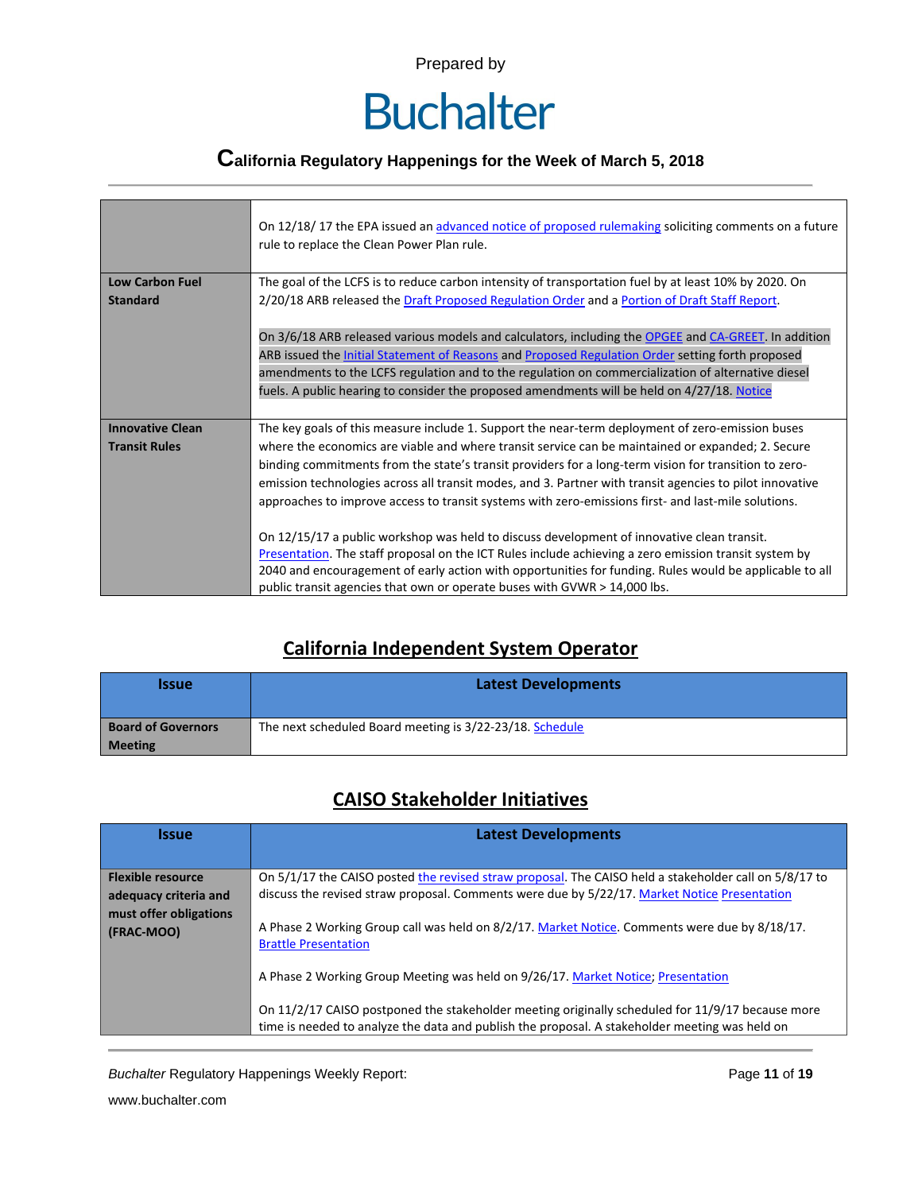

### **California Regulatory Happenings for the Week of March 5, 2018**

|                         | On 12/18/17 the EPA issued an advanced notice of proposed rulemaking soliciting comments on a future<br>rule to replace the Clean Power Plan rule.                                                                                                                                                                                                                                                                            |
|-------------------------|-------------------------------------------------------------------------------------------------------------------------------------------------------------------------------------------------------------------------------------------------------------------------------------------------------------------------------------------------------------------------------------------------------------------------------|
| <b>Low Carbon Fuel</b>  | The goal of the LCFS is to reduce carbon intensity of transportation fuel by at least 10% by 2020. On                                                                                                                                                                                                                                                                                                                         |
| <b>Standard</b>         | 2/20/18 ARB released the Draft Proposed Regulation Order and a Portion of Draft Staff Report.                                                                                                                                                                                                                                                                                                                                 |
|                         | On 3/6/18 ARB released various models and calculators, including the OPGEE and CA-GREET. In addition<br>ARB issued the <b>Initial Statement of Reasons</b> and <b>Proposed Regulation Order</b> setting forth proposed<br>amendments to the LCFS regulation and to the regulation on commercialization of alternative diesel<br>fuels. A public hearing to consider the proposed amendments will be held on 4/27/18. Notice   |
| <b>Innovative Clean</b> | The key goals of this measure include 1. Support the near-term deployment of zero-emission buses                                                                                                                                                                                                                                                                                                                              |
| <b>Transit Rules</b>    | where the economics are viable and where transit service can be maintained or expanded; 2. Secure<br>binding commitments from the state's transit providers for a long-term vision for transition to zero-<br>emission technologies across all transit modes, and 3. Partner with transit agencies to pilot innovative<br>approaches to improve access to transit systems with zero-emissions first- and last-mile solutions. |
|                         | On 12/15/17 a public workshop was held to discuss development of innovative clean transit.<br>Presentation. The staff proposal on the ICT Rules include achieving a zero emission transit system by<br>2040 and encouragement of early action with opportunities for funding. Rules would be applicable to all                                                                                                                |
|                         | public transit agencies that own or operate buses with GVWR > 14,000 lbs.                                                                                                                                                                                                                                                                                                                                                     |

#### **California Independent System Operator**

| <b>Issue</b>                                | <b>Latest Developments</b>                               |
|---------------------------------------------|----------------------------------------------------------|
| <b>Board of Governors</b><br><b>Meeting</b> | The next scheduled Board meeting is 3/22-23/18. Schedule |

#### **CAISO Stakeholder Initiatives**

| <b>Issue</b>                                                                              | <b>Latest Developments</b>                                                                                                                                                                                                                                                                                                            |  |  |  |  |
|-------------------------------------------------------------------------------------------|---------------------------------------------------------------------------------------------------------------------------------------------------------------------------------------------------------------------------------------------------------------------------------------------------------------------------------------|--|--|--|--|
|                                                                                           |                                                                                                                                                                                                                                                                                                                                       |  |  |  |  |
| <b>Flexible resource</b><br>adequacy criteria and<br>must offer obligations<br>(FRAC-MOO) | On 5/1/17 the CAISO posted the revised straw proposal. The CAISO held a stakeholder call on 5/8/17 to<br>discuss the revised straw proposal. Comments were due by 5/22/17. Market Notice Presentation<br>A Phase 2 Working Group call was held on 8/2/17. Market Notice. Comments were due by 8/18/17.<br><b>Brattle Presentation</b> |  |  |  |  |
|                                                                                           | A Phase 2 Working Group Meeting was held on 9/26/17. Market Notice; Presentation<br>On 11/2/17 CAISO postponed the stakeholder meeting originally scheduled for 11/9/17 because more<br>time is needed to analyze the data and publish the proposal. A stakeholder meeting was held on                                                |  |  |  |  |

**Buchalter Regulatory Happenings Weekly Report:** Page 11 of 19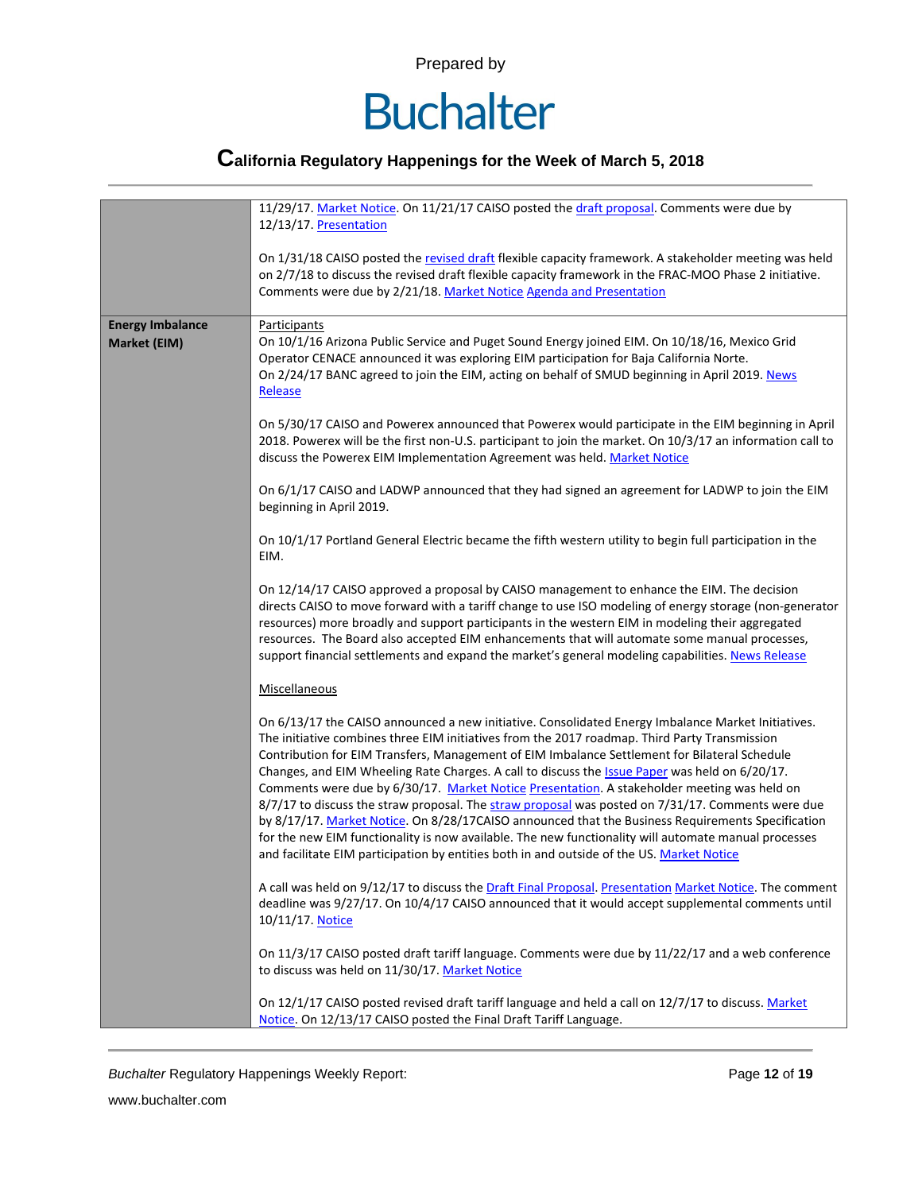

## **California Regulatory Happenings for the Week of March 5, 2018**

|                         | 11/29/17. Market Notice. On 11/21/17 CAISO posted the draft proposal. Comments were due by<br>12/13/17. Presentation<br>On 1/31/18 CAISO posted the revised draft flexible capacity framework. A stakeholder meeting was held<br>on 2/7/18 to discuss the revised draft flexible capacity framework in the FRAC-MOO Phase 2 initiative.<br>Comments were due by 2/21/18. Market Notice Agenda and Presentation                                                                                                                                                                                                                                                                                                                                                                                                                                                                                                       |  |  |  |  |  |
|-------------------------|----------------------------------------------------------------------------------------------------------------------------------------------------------------------------------------------------------------------------------------------------------------------------------------------------------------------------------------------------------------------------------------------------------------------------------------------------------------------------------------------------------------------------------------------------------------------------------------------------------------------------------------------------------------------------------------------------------------------------------------------------------------------------------------------------------------------------------------------------------------------------------------------------------------------|--|--|--|--|--|
|                         |                                                                                                                                                                                                                                                                                                                                                                                                                                                                                                                                                                                                                                                                                                                                                                                                                                                                                                                      |  |  |  |  |  |
| <b>Energy Imbalance</b> | Participants                                                                                                                                                                                                                                                                                                                                                                                                                                                                                                                                                                                                                                                                                                                                                                                                                                                                                                         |  |  |  |  |  |
| Market (EIM)            | On 10/1/16 Arizona Public Service and Puget Sound Energy joined EIM. On 10/18/16, Mexico Grid<br>Operator CENACE announced it was exploring EIM participation for Baja California Norte.<br>On 2/24/17 BANC agreed to join the EIM, acting on behalf of SMUD beginning in April 2019. News<br>Release                                                                                                                                                                                                                                                                                                                                                                                                                                                                                                                                                                                                                |  |  |  |  |  |
|                         | On 5/30/17 CAISO and Powerex announced that Powerex would participate in the EIM beginning in April<br>2018. Powerex will be the first non-U.S. participant to join the market. On 10/3/17 an information call to<br>discuss the Powerex EIM Implementation Agreement was held. Market Notice                                                                                                                                                                                                                                                                                                                                                                                                                                                                                                                                                                                                                        |  |  |  |  |  |
|                         | On 6/1/17 CAISO and LADWP announced that they had signed an agreement for LADWP to join the EIM<br>beginning in April 2019.                                                                                                                                                                                                                                                                                                                                                                                                                                                                                                                                                                                                                                                                                                                                                                                          |  |  |  |  |  |
|                         | On 10/1/17 Portland General Electric became the fifth western utility to begin full participation in the<br>EIM.                                                                                                                                                                                                                                                                                                                                                                                                                                                                                                                                                                                                                                                                                                                                                                                                     |  |  |  |  |  |
|                         | On 12/14/17 CAISO approved a proposal by CAISO management to enhance the EIM. The decision<br>directs CAISO to move forward with a tariff change to use ISO modeling of energy storage (non-generator<br>resources) more broadly and support participants in the western EIM in modeling their aggregated<br>resources. The Board also accepted EIM enhancements that will automate some manual processes,<br>support financial settlements and expand the market's general modeling capabilities. News Release                                                                                                                                                                                                                                                                                                                                                                                                      |  |  |  |  |  |
|                         | Miscellaneous                                                                                                                                                                                                                                                                                                                                                                                                                                                                                                                                                                                                                                                                                                                                                                                                                                                                                                        |  |  |  |  |  |
|                         | On 6/13/17 the CAISO announced a new initiative. Consolidated Energy Imbalance Market Initiatives.<br>The initiative combines three EIM initiatives from the 2017 roadmap. Third Party Transmission<br>Contribution for EIM Transfers, Management of EIM Imbalance Settlement for Bilateral Schedule<br>Changes, and EIM Wheeling Rate Charges. A call to discuss the Issue Paper was held on 6/20/17.<br>Comments were due by 6/30/17. Market Notice Presentation. A stakeholder meeting was held on<br>8/7/17 to discuss the straw proposal. The straw proposal was posted on 7/31/17. Comments were due<br>by 8/17/17. Market Notice. On 8/28/17CAISO announced that the Business Requirements Specification<br>for the new EIM functionality is now available. The new functionality will automate manual processes<br>and facilitate EIM participation by entities both in and outside of the US. Market Notice |  |  |  |  |  |
|                         | A call was held on 9/12/17 to discuss the Draft Final Proposal. Presentation Market Notice. The comment<br>deadline was 9/27/17. On 10/4/17 CAISO announced that it would accept supplemental comments until<br>10/11/17. Notice                                                                                                                                                                                                                                                                                                                                                                                                                                                                                                                                                                                                                                                                                     |  |  |  |  |  |
|                         | On 11/3/17 CAISO posted draft tariff language. Comments were due by 11/22/17 and a web conference<br>to discuss was held on 11/30/17. Market Notice                                                                                                                                                                                                                                                                                                                                                                                                                                                                                                                                                                                                                                                                                                                                                                  |  |  |  |  |  |
|                         | On 12/1/17 CAISO posted revised draft tariff language and held a call on 12/7/17 to discuss. Market<br>Notice. On 12/13/17 CAISO posted the Final Draft Tariff Language.                                                                                                                                                                                                                                                                                                                                                                                                                                                                                                                                                                                                                                                                                                                                             |  |  |  |  |  |

**Buchalter Regulatory Happenings Weekly Report:** Page 12 of 19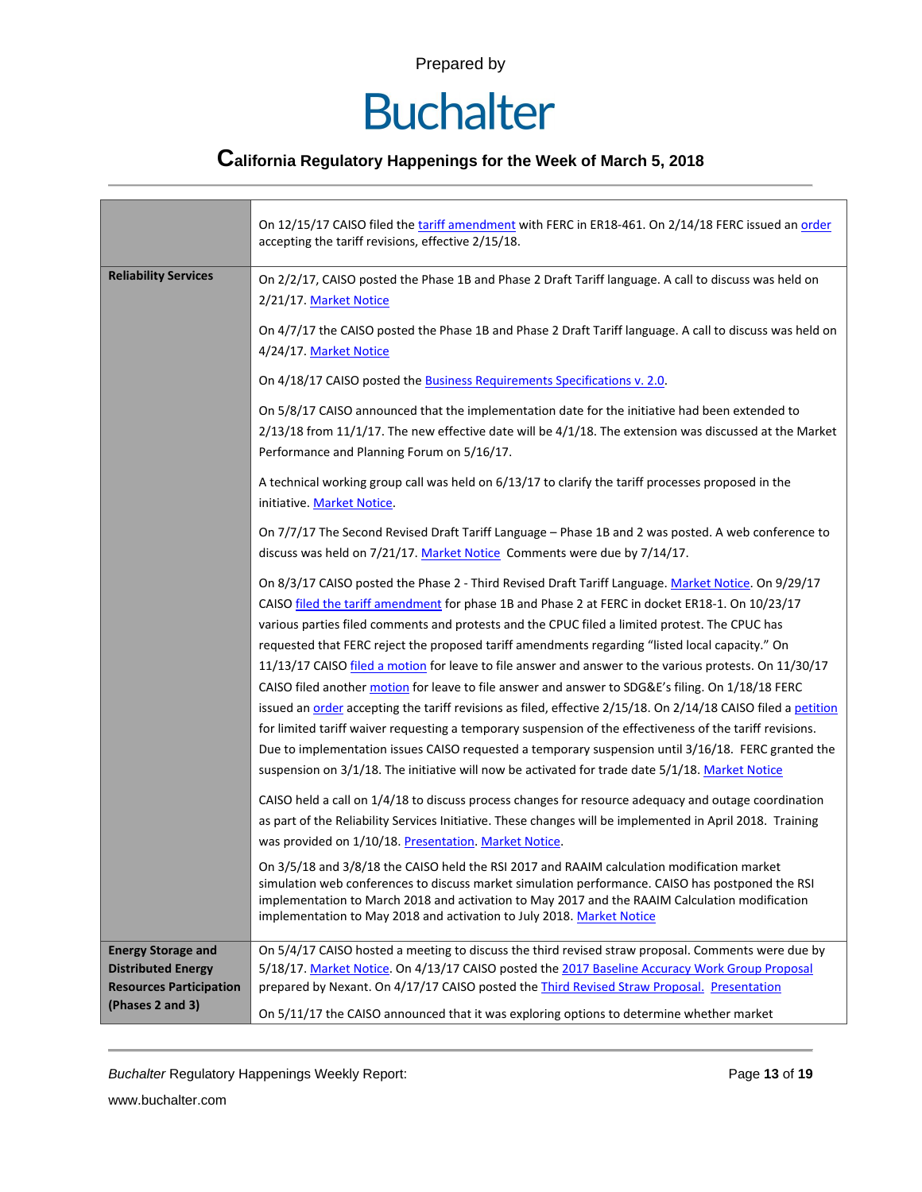# **Buchalter**

## **California Regulatory Happenings for the Week of March 5, 2018**

|                                                                                                              | On 12/15/17 CAISO filed the tariff amendment with FERC in ER18-461. On 2/14/18 FERC issued an order<br>accepting the tariff revisions, effective 2/15/18.                                                                                                                                                                                                                                                                                                                                                                                                                                                                                                                                                                                                                                                                                                                                                                                                                                                                                                          |  |  |  |  |
|--------------------------------------------------------------------------------------------------------------|--------------------------------------------------------------------------------------------------------------------------------------------------------------------------------------------------------------------------------------------------------------------------------------------------------------------------------------------------------------------------------------------------------------------------------------------------------------------------------------------------------------------------------------------------------------------------------------------------------------------------------------------------------------------------------------------------------------------------------------------------------------------------------------------------------------------------------------------------------------------------------------------------------------------------------------------------------------------------------------------------------------------------------------------------------------------|--|--|--|--|
| <b>Reliability Services</b>                                                                                  | On 2/2/17, CAISO posted the Phase 1B and Phase 2 Draft Tariff language. A call to discuss was held on<br>2/21/17. Market Notice                                                                                                                                                                                                                                                                                                                                                                                                                                                                                                                                                                                                                                                                                                                                                                                                                                                                                                                                    |  |  |  |  |
|                                                                                                              | On 4/7/17 the CAISO posted the Phase 1B and Phase 2 Draft Tariff language. A call to discuss was held on<br>4/24/17. Market Notice                                                                                                                                                                                                                                                                                                                                                                                                                                                                                                                                                                                                                                                                                                                                                                                                                                                                                                                                 |  |  |  |  |
|                                                                                                              | On 4/18/17 CAISO posted the <b>Business Requirements Specifications v. 2.0</b> .                                                                                                                                                                                                                                                                                                                                                                                                                                                                                                                                                                                                                                                                                                                                                                                                                                                                                                                                                                                   |  |  |  |  |
|                                                                                                              | On 5/8/17 CAISO announced that the implementation date for the initiative had been extended to<br>$2/13/18$ from 11/1/17. The new effective date will be $4/1/18$ . The extension was discussed at the Market<br>Performance and Planning Forum on 5/16/17.                                                                                                                                                                                                                                                                                                                                                                                                                                                                                                                                                                                                                                                                                                                                                                                                        |  |  |  |  |
|                                                                                                              | A technical working group call was held on 6/13/17 to clarify the tariff processes proposed in the<br>initiative. Market Notice.                                                                                                                                                                                                                                                                                                                                                                                                                                                                                                                                                                                                                                                                                                                                                                                                                                                                                                                                   |  |  |  |  |
|                                                                                                              | On 7/7/17 The Second Revised Draft Tariff Language - Phase 1B and 2 was posted. A web conference to<br>discuss was held on 7/21/17. Market Notice Comments were due by 7/14/17.                                                                                                                                                                                                                                                                                                                                                                                                                                                                                                                                                                                                                                                                                                                                                                                                                                                                                    |  |  |  |  |
|                                                                                                              | On 8/3/17 CAISO posted the Phase 2 - Third Revised Draft Tariff Language. Market Notice. On 9/29/17<br>CAISO filed the tariff amendment for phase 1B and Phase 2 at FERC in docket ER18-1. On 10/23/17<br>various parties filed comments and protests and the CPUC filed a limited protest. The CPUC has<br>requested that FERC reject the proposed tariff amendments regarding "listed local capacity." On<br>11/13/17 CAISO filed a motion for leave to file answer and answer to the various protests. On 11/30/17<br>CAISO filed another motion for leave to file answer and answer to SDG&E's filing. On 1/18/18 FERC<br>issued an order accepting the tariff revisions as filed, effective 2/15/18. On 2/14/18 CAISO filed a petition<br>for limited tariff waiver requesting a temporary suspension of the effectiveness of the tariff revisions.<br>Due to implementation issues CAISO requested a temporary suspension until 3/16/18. FERC granted the<br>suspension on 3/1/18. The initiative will now be activated for trade date 5/1/18. Market Notice |  |  |  |  |
|                                                                                                              | CAISO held a call on 1/4/18 to discuss process changes for resource adequacy and outage coordination<br>as part of the Reliability Services Initiative. These changes will be implemented in April 2018. Training<br>was provided on 1/10/18. Presentation. Market Notice.                                                                                                                                                                                                                                                                                                                                                                                                                                                                                                                                                                                                                                                                                                                                                                                         |  |  |  |  |
|                                                                                                              | On 3/5/18 and 3/8/18 the CAISO held the RSI 2017 and RAAIM calculation modification market<br>simulation web conferences to discuss market simulation performance. CAISO has postponed the RSI<br>implementation to March 2018 and activation to May 2017 and the RAAIM Calculation modification<br>implementation to May 2018 and activation to July 2018. Market Notice                                                                                                                                                                                                                                                                                                                                                                                                                                                                                                                                                                                                                                                                                          |  |  |  |  |
| <b>Energy Storage and</b><br><b>Distributed Energy</b><br><b>Resources Participation</b><br>(Phases 2 and 3) | On 5/4/17 CAISO hosted a meeting to discuss the third revised straw proposal. Comments were due by<br>5/18/17. Market Notice. On 4/13/17 CAISO posted the 2017 Baseline Accuracy Work Group Proposal<br>prepared by Nexant. On 4/17/17 CAISO posted the Third Revised Straw Proposal. Presentation<br>On 5/11/17 the CAISO announced that it was exploring options to determine whether market                                                                                                                                                                                                                                                                                                                                                                                                                                                                                                                                                                                                                                                                     |  |  |  |  |

**Buchalter Regulatory Happenings Weekly Report:** Page 13 of 19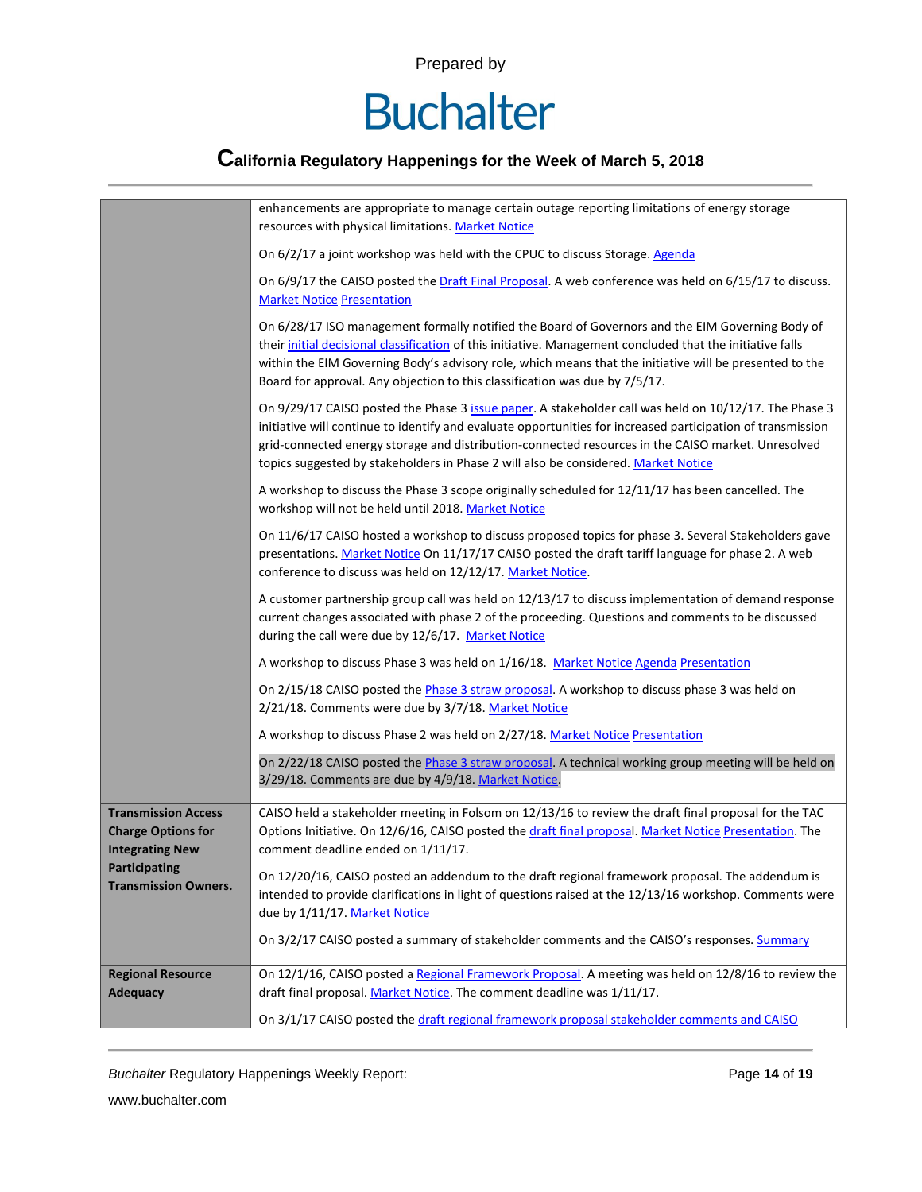# **Buchalter**

## **California Regulatory Happenings for the Week of March 5, 2018**

|                                                         | enhancements are appropriate to manage certain outage reporting limitations of energy storage<br>resources with physical limitations. Market Notice                                                                                                                                                                                                                                                              |  |  |  |
|---------------------------------------------------------|------------------------------------------------------------------------------------------------------------------------------------------------------------------------------------------------------------------------------------------------------------------------------------------------------------------------------------------------------------------------------------------------------------------|--|--|--|
|                                                         | On 6/2/17 a joint workshop was held with the CPUC to discuss Storage. Agenda                                                                                                                                                                                                                                                                                                                                     |  |  |  |
|                                                         | On 6/9/17 the CAISO posted the Draft Final Proposal. A web conference was held on 6/15/17 to discuss.<br><b>Market Notice Presentation</b>                                                                                                                                                                                                                                                                       |  |  |  |
|                                                         | On 6/28/17 ISO management formally notified the Board of Governors and the EIM Governing Body of<br>their initial decisional classification of this initiative. Management concluded that the initiative falls<br>within the EIM Governing Body's advisory role, which means that the initiative will be presented to the<br>Board for approval. Any objection to this classification was due by 7/5/17.         |  |  |  |
|                                                         | On 9/29/17 CAISO posted the Phase 3 issue paper. A stakeholder call was held on 10/12/17. The Phase 3<br>initiative will continue to identify and evaluate opportunities for increased participation of transmission<br>grid-connected energy storage and distribution-connected resources in the CAISO market. Unresolved<br>topics suggested by stakeholders in Phase 2 will also be considered. Market Notice |  |  |  |
|                                                         | A workshop to discuss the Phase 3 scope originally scheduled for 12/11/17 has been cancelled. The<br>workshop will not be held until 2018. Market Notice                                                                                                                                                                                                                                                         |  |  |  |
|                                                         | On 11/6/17 CAISO hosted a workshop to discuss proposed topics for phase 3. Several Stakeholders gave<br>presentations. Market Notice On 11/17/17 CAISO posted the draft tariff language for phase 2. A web<br>conference to discuss was held on 12/12/17. Market Notice.                                                                                                                                         |  |  |  |
|                                                         | A customer partnership group call was held on 12/13/17 to discuss implementation of demand response<br>current changes associated with phase 2 of the proceeding. Questions and comments to be discussed<br>during the call were due by 12/6/17. Market Notice                                                                                                                                                   |  |  |  |
|                                                         | A workshop to discuss Phase 3 was held on 1/16/18. Market Notice Agenda Presentation                                                                                                                                                                                                                                                                                                                             |  |  |  |
|                                                         | On 2/15/18 CAISO posted the Phase 3 straw proposal. A workshop to discuss phase 3 was held on<br>2/21/18. Comments were due by 3/7/18. Market Notice                                                                                                                                                                                                                                                             |  |  |  |
|                                                         | A workshop to discuss Phase 2 was held on 2/27/18. Market Notice Presentation                                                                                                                                                                                                                                                                                                                                    |  |  |  |
|                                                         | On 2/22/18 CAISO posted the Phase 3 straw proposal. A technical working group meeting will be held on<br>3/29/18. Comments are due by 4/9/18. Market Notice.                                                                                                                                                                                                                                                     |  |  |  |
| <b>Transmission Access</b><br><b>Charge Options for</b> | CAISO held a stakeholder meeting in Folsom on 12/13/16 to review the draft final proposal for the TAC<br>Options Initiative. On 12/6/16, CAISO posted the draft final proposal. Market Notice Presentation. The                                                                                                                                                                                                  |  |  |  |
| <b>Integrating New</b>                                  | comment deadline ended on 1/11/17.                                                                                                                                                                                                                                                                                                                                                                               |  |  |  |
| <b>Participating</b><br><b>Transmission Owners.</b>     | On 12/20/16, CAISO posted an addendum to the draft regional framework proposal. The addendum is                                                                                                                                                                                                                                                                                                                  |  |  |  |
|                                                         | intended to provide clarifications in light of questions raised at the 12/13/16 workshop. Comments were<br>due by 1/11/17. Market Notice                                                                                                                                                                                                                                                                         |  |  |  |
|                                                         | On 3/2/17 CAISO posted a summary of stakeholder comments and the CAISO's responses. Summary                                                                                                                                                                                                                                                                                                                      |  |  |  |
| <b>Regional Resource</b>                                | On 12/1/16, CAISO posted a Regional Framework Proposal. A meeting was held on 12/8/16 to review the                                                                                                                                                                                                                                                                                                              |  |  |  |
| <b>Adequacy</b>                                         | draft final proposal. Market Notice. The comment deadline was 1/11/17.                                                                                                                                                                                                                                                                                                                                           |  |  |  |
|                                                         | On 3/1/17 CAISO posted the draft regional framework proposal stakeholder comments and CAISO                                                                                                                                                                                                                                                                                                                      |  |  |  |

**Buchalter Regulatory Happenings Weekly Report:** Page 14 of 19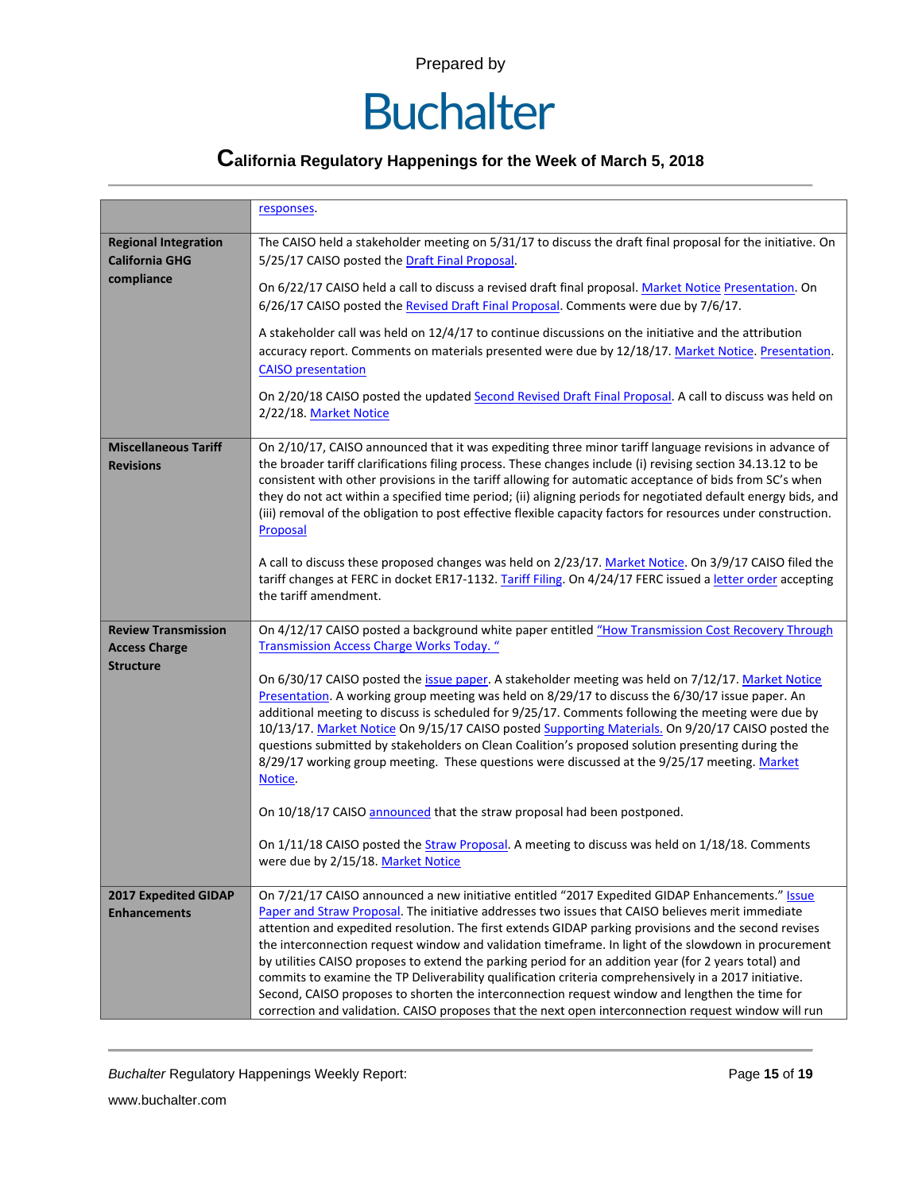## **California Regulatory Happenings for the Week of March 5, 2018**

|                                                      | responses.                                                                                                                                                                                                                                                                                                                                                                                                                                                                                                                                                                                                                                                                                                                                                                                                                                        |  |  |  |  |
|------------------------------------------------------|---------------------------------------------------------------------------------------------------------------------------------------------------------------------------------------------------------------------------------------------------------------------------------------------------------------------------------------------------------------------------------------------------------------------------------------------------------------------------------------------------------------------------------------------------------------------------------------------------------------------------------------------------------------------------------------------------------------------------------------------------------------------------------------------------------------------------------------------------|--|--|--|--|
| <b>Regional Integration</b><br><b>California GHG</b> | The CAISO held a stakeholder meeting on 5/31/17 to discuss the draft final proposal for the initiative. On<br>5/25/17 CAISO posted the Draft Final Proposal.                                                                                                                                                                                                                                                                                                                                                                                                                                                                                                                                                                                                                                                                                      |  |  |  |  |
| compliance                                           | On 6/22/17 CAISO held a call to discuss a revised draft final proposal. Market Notice Presentation. On<br>6/26/17 CAISO posted the Revised Draft Final Proposal. Comments were due by 7/6/17.                                                                                                                                                                                                                                                                                                                                                                                                                                                                                                                                                                                                                                                     |  |  |  |  |
|                                                      | A stakeholder call was held on 12/4/17 to continue discussions on the initiative and the attribution<br>accuracy report. Comments on materials presented were due by 12/18/17. Market Notice. Presentation.<br><b>CAISO</b> presentation<br>On 2/20/18 CAISO posted the updated Second Revised Draft Final Proposal. A call to discuss was held on                                                                                                                                                                                                                                                                                                                                                                                                                                                                                                |  |  |  |  |
|                                                      | 2/22/18. Market Notice                                                                                                                                                                                                                                                                                                                                                                                                                                                                                                                                                                                                                                                                                                                                                                                                                            |  |  |  |  |
| <b>Miscellaneous Tariff</b><br><b>Revisions</b>      | On 2/10/17, CAISO announced that it was expediting three minor tariff language revisions in advance of<br>the broader tariff clarifications filing process. These changes include (i) revising section 34.13.12 to be<br>consistent with other provisions in the tariff allowing for automatic acceptance of bids from SC's when<br>they do not act within a specified time period; (ii) aligning periods for negotiated default energy bids, and<br>(iii) removal of the obligation to post effective flexible capacity factors for resources under construction.<br>Proposal                                                                                                                                                                                                                                                                    |  |  |  |  |
|                                                      | A call to discuss these proposed changes was held on 2/23/17. Market Notice. On 3/9/17 CAISO filed the<br>tariff changes at FERC in docket ER17-1132. Tariff Filing. On 4/24/17 FERC issued a letter order accepting<br>the tariff amendment.                                                                                                                                                                                                                                                                                                                                                                                                                                                                                                                                                                                                     |  |  |  |  |
| <b>Review Transmission</b><br><b>Access Charge</b>   | On 4/12/17 CAISO posted a background white paper entitled "How Transmission Cost Recovery Through<br><b>Transmission Access Charge Works Today.</b> "                                                                                                                                                                                                                                                                                                                                                                                                                                                                                                                                                                                                                                                                                             |  |  |  |  |
| <b>Structure</b>                                     | On 6/30/17 CAISO posted the issue paper. A stakeholder meeting was held on 7/12/17. Market Notice<br>Presentation. A working group meeting was held on 8/29/17 to discuss the 6/30/17 issue paper. An<br>additional meeting to discuss is scheduled for 9/25/17. Comments following the meeting were due by<br>10/13/17. Market Notice On 9/15/17 CAISO posted Supporting Materials. On 9/20/17 CAISO posted the<br>questions submitted by stakeholders on Clean Coalition's proposed solution presenting during the<br>8/29/17 working group meeting. These questions were discussed at the 9/25/17 meeting. Market<br>Notice.                                                                                                                                                                                                                   |  |  |  |  |
|                                                      | On 10/18/17 CAISO announced that the straw proposal had been postponed.                                                                                                                                                                                                                                                                                                                                                                                                                                                                                                                                                                                                                                                                                                                                                                           |  |  |  |  |
|                                                      | On 1/11/18 CAISO posted the Straw Proposal. A meeting to discuss was held on 1/18/18. Comments<br>were due by 2/15/18. Market Notice                                                                                                                                                                                                                                                                                                                                                                                                                                                                                                                                                                                                                                                                                                              |  |  |  |  |
| 2017 Expedited GIDAP<br><b>Enhancements</b>          | On 7/21/17 CAISO announced a new initiative entitled "2017 Expedited GIDAP Enhancements." Issue<br>Paper and Straw Proposal. The initiative addresses two issues that CAISO believes merit immediate<br>attention and expedited resolution. The first extends GIDAP parking provisions and the second revises<br>the interconnection request window and validation timeframe. In light of the slowdown in procurement<br>by utilities CAISO proposes to extend the parking period for an addition year (for 2 years total) and<br>commits to examine the TP Deliverability qualification criteria comprehensively in a 2017 initiative.<br>Second, CAISO proposes to shorten the interconnection request window and lengthen the time for<br>correction and validation. CAISO proposes that the next open interconnection request window will run |  |  |  |  |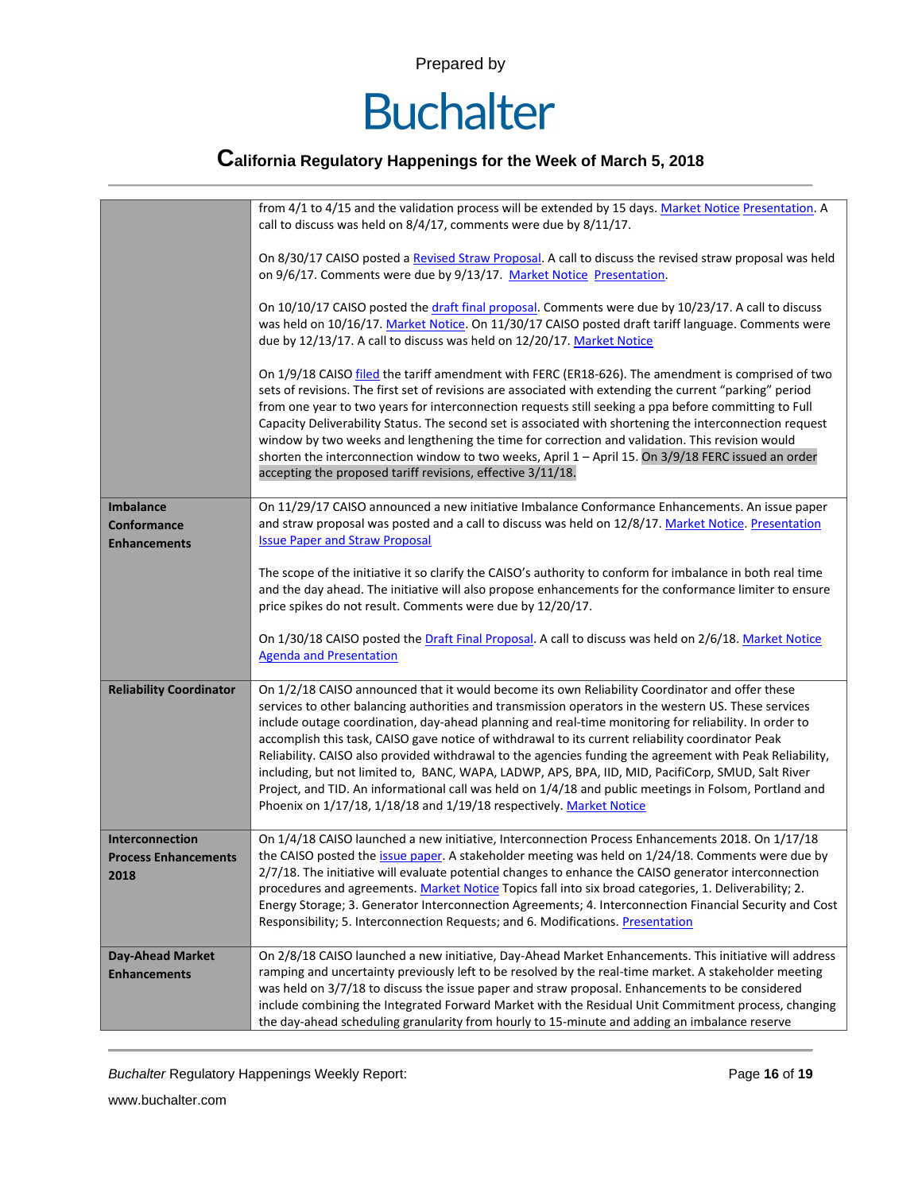# **Buchalter**

## **California Regulatory Happenings for the Week of March 5, 2018**

|                                | from 4/1 to 4/15 and the validation process will be extended by 15 days. Market Notice Presentation. A<br>call to discuss was held on 8/4/17, comments were due by 8/11/17.                                                                                                                                                                                                                                                                                                                                                                                                                                                                                                                                                                                                                                             |  |  |  |  |
|--------------------------------|-------------------------------------------------------------------------------------------------------------------------------------------------------------------------------------------------------------------------------------------------------------------------------------------------------------------------------------------------------------------------------------------------------------------------------------------------------------------------------------------------------------------------------------------------------------------------------------------------------------------------------------------------------------------------------------------------------------------------------------------------------------------------------------------------------------------------|--|--|--|--|
|                                | On 8/30/17 CAISO posted a Revised Straw Proposal. A call to discuss the revised straw proposal was held<br>on 9/6/17. Comments were due by 9/13/17. Market Notice Presentation.                                                                                                                                                                                                                                                                                                                                                                                                                                                                                                                                                                                                                                         |  |  |  |  |
|                                | On 10/10/17 CAISO posted the draft final proposal. Comments were due by 10/23/17. A call to discuss<br>was held on 10/16/17. Market Notice. On 11/30/17 CAISO posted draft tariff language. Comments were<br>due by 12/13/17. A call to discuss was held on 12/20/17. Market Notice                                                                                                                                                                                                                                                                                                                                                                                                                                                                                                                                     |  |  |  |  |
|                                | On 1/9/18 CAISO filed the tariff amendment with FERC (ER18-626). The amendment is comprised of two<br>sets of revisions. The first set of revisions are associated with extending the current "parking" period<br>from one year to two years for interconnection requests still seeking a ppa before committing to Full<br>Capacity Deliverability Status. The second set is associated with shortening the interconnection request<br>window by two weeks and lengthening the time for correction and validation. This revision would<br>shorten the interconnection window to two weeks, April 1 - April 15. On 3/9/18 FERC issued an order<br>accepting the proposed tariff revisions, effective 3/11/18.                                                                                                            |  |  |  |  |
| <b>Imbalance</b>               | On 11/29/17 CAISO announced a new initiative Imbalance Conformance Enhancements. An issue paper                                                                                                                                                                                                                                                                                                                                                                                                                                                                                                                                                                                                                                                                                                                         |  |  |  |  |
| <b>Conformance</b>             | and straw proposal was posted and a call to discuss was held on 12/8/17. Market Notice. Presentation                                                                                                                                                                                                                                                                                                                                                                                                                                                                                                                                                                                                                                                                                                                    |  |  |  |  |
| <b>Enhancements</b>            | <b>Issue Paper and Straw Proposal</b>                                                                                                                                                                                                                                                                                                                                                                                                                                                                                                                                                                                                                                                                                                                                                                                   |  |  |  |  |
|                                |                                                                                                                                                                                                                                                                                                                                                                                                                                                                                                                                                                                                                                                                                                                                                                                                                         |  |  |  |  |
|                                | The scope of the initiative it so clarify the CAISO's authority to conform for imbalance in both real time                                                                                                                                                                                                                                                                                                                                                                                                                                                                                                                                                                                                                                                                                                              |  |  |  |  |
|                                | and the day ahead. The initiative will also propose enhancements for the conformance limiter to ensure                                                                                                                                                                                                                                                                                                                                                                                                                                                                                                                                                                                                                                                                                                                  |  |  |  |  |
|                                | price spikes do not result. Comments were due by 12/20/17.                                                                                                                                                                                                                                                                                                                                                                                                                                                                                                                                                                                                                                                                                                                                                              |  |  |  |  |
|                                | On 1/30/18 CAISO posted the Draft Final Proposal. A call to discuss was held on 2/6/18. Market Notice<br><b>Agenda and Presentation</b>                                                                                                                                                                                                                                                                                                                                                                                                                                                                                                                                                                                                                                                                                 |  |  |  |  |
| <b>Reliability Coordinator</b> | On 1/2/18 CAISO announced that it would become its own Reliability Coordinator and offer these<br>services to other balancing authorities and transmission operators in the western US. These services<br>include outage coordination, day-ahead planning and real-time monitoring for reliability. In order to<br>accomplish this task, CAISO gave notice of withdrawal to its current reliability coordinator Peak<br>Reliability. CAISO also provided withdrawal to the agencies funding the agreement with Peak Reliability,<br>including, but not limited to, BANC, WAPA, LADWP, APS, BPA, IID, MID, PacifiCorp, SMUD, Salt River<br>Project, and TID. An informational call was held on 1/4/18 and public meetings in Folsom, Portland and<br>Phoenix on 1/17/18, 1/18/18 and 1/19/18 respectively. Market Notice |  |  |  |  |
| Interconnection                | On 1/4/18 CAISO launched a new initiative, Interconnection Process Enhancements 2018. On 1/17/18                                                                                                                                                                                                                                                                                                                                                                                                                                                                                                                                                                                                                                                                                                                        |  |  |  |  |
| <b>Process Enhancements</b>    | the CAISO posted the issue paper. A stakeholder meeting was held on 1/24/18. Comments were due by                                                                                                                                                                                                                                                                                                                                                                                                                                                                                                                                                                                                                                                                                                                       |  |  |  |  |
| 2018                           | 2/7/18. The initiative will evaluate potential changes to enhance the CAISO generator interconnection                                                                                                                                                                                                                                                                                                                                                                                                                                                                                                                                                                                                                                                                                                                   |  |  |  |  |
|                                | procedures and agreements. Market Notice Topics fall into six broad categories, 1. Deliverability; 2.                                                                                                                                                                                                                                                                                                                                                                                                                                                                                                                                                                                                                                                                                                                   |  |  |  |  |
|                                | Energy Storage; 3. Generator Interconnection Agreements; 4. Interconnection Financial Security and Cost                                                                                                                                                                                                                                                                                                                                                                                                                                                                                                                                                                                                                                                                                                                 |  |  |  |  |
|                                | Responsibility; 5. Interconnection Requests; and 6. Modifications. Presentation                                                                                                                                                                                                                                                                                                                                                                                                                                                                                                                                                                                                                                                                                                                                         |  |  |  |  |
| <b>Day-Ahead Market</b>        | On 2/8/18 CAISO launched a new initiative, Day-Ahead Market Enhancements. This initiative will address                                                                                                                                                                                                                                                                                                                                                                                                                                                                                                                                                                                                                                                                                                                  |  |  |  |  |
| <b>Enhancements</b>            | ramping and uncertainty previously left to be resolved by the real-time market. A stakeholder meeting                                                                                                                                                                                                                                                                                                                                                                                                                                                                                                                                                                                                                                                                                                                   |  |  |  |  |
|                                | was held on 3/7/18 to discuss the issue paper and straw proposal. Enhancements to be considered                                                                                                                                                                                                                                                                                                                                                                                                                                                                                                                                                                                                                                                                                                                         |  |  |  |  |
|                                | include combining the Integrated Forward Market with the Residual Unit Commitment process, changing                                                                                                                                                                                                                                                                                                                                                                                                                                                                                                                                                                                                                                                                                                                     |  |  |  |  |
|                                | the day-ahead scheduling granularity from hourly to 15-minute and adding an imbalance reserve                                                                                                                                                                                                                                                                                                                                                                                                                                                                                                                                                                                                                                                                                                                           |  |  |  |  |
|                                |                                                                                                                                                                                                                                                                                                                                                                                                                                                                                                                                                                                                                                                                                                                                                                                                                         |  |  |  |  |

**Buchalter Regulatory Happenings Weekly Report:** Page 16 of 19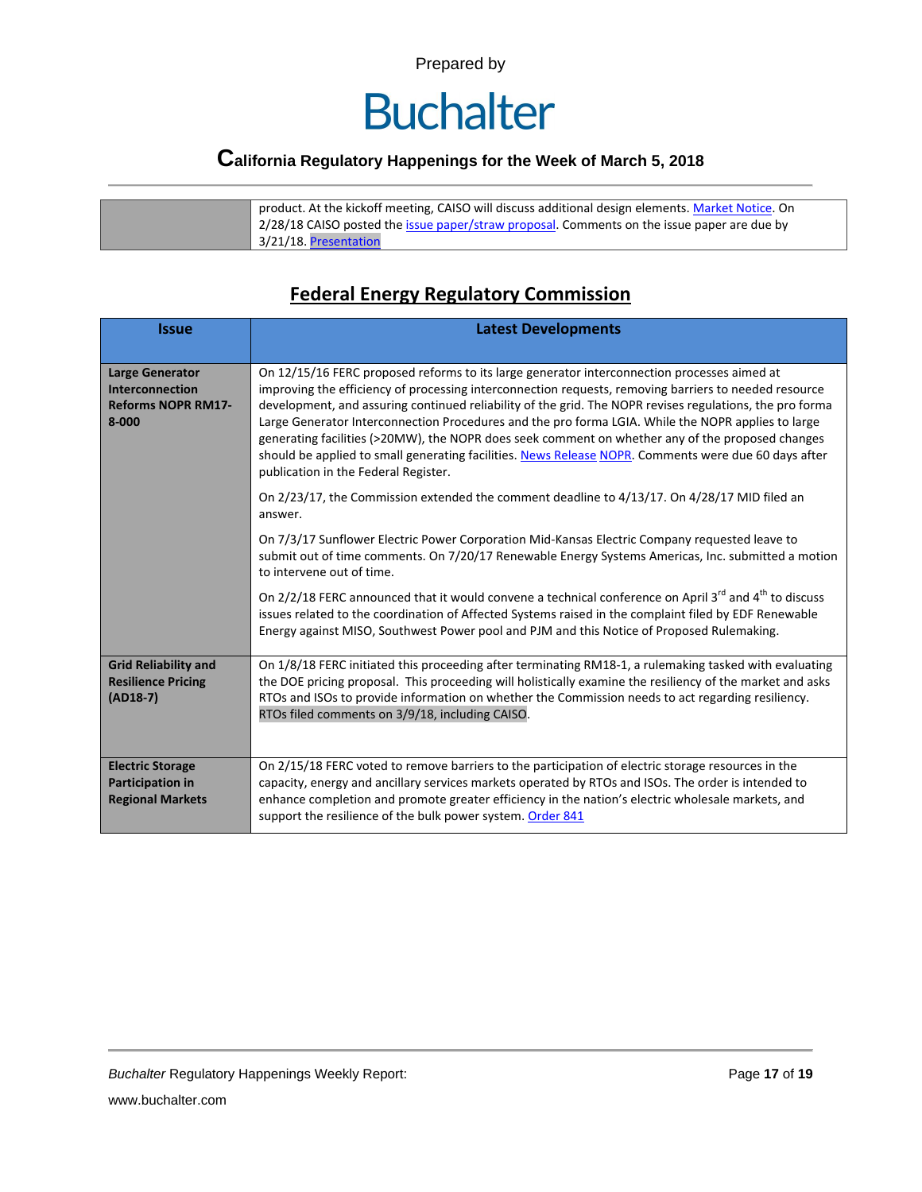# **Buchalter**

#### **California Regulatory Happenings for the Week of March 5, 2018**

product. At the kickoff meeting, CAISO will discuss additional design elements. [Market Notice.](http://www.caiso.com/Documents/Day-AheadMarketEnhancementsMeetingChangedto030718.htmlhttp:/www.caiso.com/Documents/NewInitiativeDay-AheadMarketEnhancementsMeeting030118.html) On 2/28/18 CAISO posted the *issue paper/straw proposal*. Comments on the issue paper are due by 3/21/18. [Presentation](http://www.caiso.com/Documents/EnergyStorage-DistributedEnergyResourcesPhase3TechnicalWorkingGroup032918.html)

#### **Federal Energy Regulatory Commission**

| <b>Issue</b>                                                                               | <b>Latest Developments</b>                                                                                                                                                                                                                                                                                                                                                                                                                                                                                                                                                                                                                                                 |  |  |  |  |
|--------------------------------------------------------------------------------------------|----------------------------------------------------------------------------------------------------------------------------------------------------------------------------------------------------------------------------------------------------------------------------------------------------------------------------------------------------------------------------------------------------------------------------------------------------------------------------------------------------------------------------------------------------------------------------------------------------------------------------------------------------------------------------|--|--|--|--|
| <b>Large Generator</b><br><b>Interconnection</b><br><b>Reforms NOPR RM17-</b><br>$8 - 000$ | On 12/15/16 FERC proposed reforms to its large generator interconnection processes aimed at<br>improving the efficiency of processing interconnection requests, removing barriers to needed resource<br>development, and assuring continued reliability of the grid. The NOPR revises regulations, the pro forma<br>Large Generator Interconnection Procedures and the pro forma LGIA. While the NOPR applies to large<br>generating facilities (>20MW), the NOPR does seek comment on whether any of the proposed changes<br>should be applied to small generating facilities. News Release NOPR. Comments were due 60 days after<br>publication in the Federal Register. |  |  |  |  |
|                                                                                            | On 2/23/17, the Commission extended the comment deadline to 4/13/17. On 4/28/17 MID filed an<br>answer.                                                                                                                                                                                                                                                                                                                                                                                                                                                                                                                                                                    |  |  |  |  |
|                                                                                            | On 7/3/17 Sunflower Electric Power Corporation Mid-Kansas Electric Company requested leave to<br>submit out of time comments. On 7/20/17 Renewable Energy Systems Americas, Inc. submitted a motion<br>to intervene out of time.                                                                                                                                                                                                                                                                                                                                                                                                                                           |  |  |  |  |
|                                                                                            | On 2/2/18 FERC announced that it would convene a technical conference on April 3 <sup>rd</sup> and 4 <sup>th</sup> to discuss<br>issues related to the coordination of Affected Systems raised in the complaint filed by EDF Renewable<br>Energy against MISO, Southwest Power pool and PJM and this Notice of Proposed Rulemaking.                                                                                                                                                                                                                                                                                                                                        |  |  |  |  |
| <b>Grid Reliability and</b><br><b>Resilience Pricing</b><br>$(AD18-7)$                     | On 1/8/18 FERC initiated this proceeding after terminating RM18-1, a rulemaking tasked with evaluating<br>the DOE pricing proposal. This proceeding will holistically examine the resiliency of the market and asks<br>RTOs and ISOs to provide information on whether the Commission needs to act regarding resiliency.<br>RTOs filed comments on 3/9/18, including CAISO.                                                                                                                                                                                                                                                                                                |  |  |  |  |
| <b>Electric Storage</b><br><b>Participation in</b><br><b>Regional Markets</b>              | On 2/15/18 FERC voted to remove barriers to the participation of electric storage resources in the<br>capacity, energy and ancillary services markets operated by RTOs and ISOs. The order is intended to<br>enhance completion and promote greater efficiency in the nation's electric wholesale markets, and<br>support the resilience of the bulk power system. Order 841                                                                                                                                                                                                                                                                                               |  |  |  |  |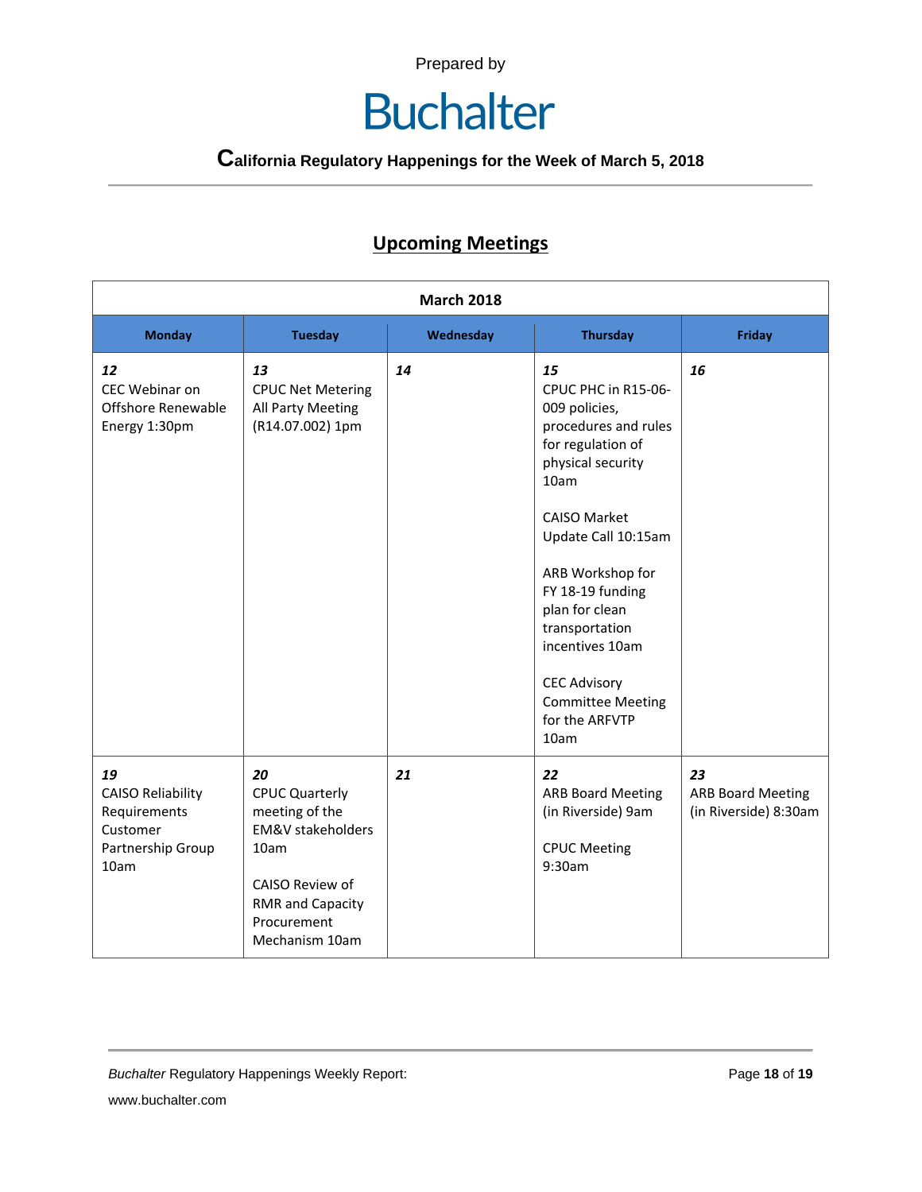# **Buchalter**

**California Regulatory Happenings for the Week of March 5, 2018**

#### **Upcoming Meetings**

| <b>March 2018</b>                                                                       |                                                                                                                                                                      |           |                                                                                                                                                                                                                                                                                                                                                |                                                         |
|-----------------------------------------------------------------------------------------|----------------------------------------------------------------------------------------------------------------------------------------------------------------------|-----------|------------------------------------------------------------------------------------------------------------------------------------------------------------------------------------------------------------------------------------------------------------------------------------------------------------------------------------------------|---------------------------------------------------------|
| <b>Monday</b>                                                                           | <b>Tuesday</b>                                                                                                                                                       | Wednesday | <b>Thursday</b>                                                                                                                                                                                                                                                                                                                                | <b>Friday</b>                                           |
| 12<br>CEC Webinar on<br>Offshore Renewable<br>Energy 1:30pm                             | 13<br><b>CPUC Net Metering</b><br>All Party Meeting<br>(R14.07.002) 1pm                                                                                              | 14        | 15<br>CPUC PHC in R15-06-<br>009 policies,<br>procedures and rules<br>for regulation of<br>physical security<br>10am<br><b>CAISO Market</b><br>Update Call 10:15am<br>ARB Workshop for<br>FY 18-19 funding<br>plan for clean<br>transportation<br>incentives 10am<br><b>CEC Advisory</b><br><b>Committee Meeting</b><br>for the ARFVTP<br>10am | 16                                                      |
| 19<br><b>CAISO Reliability</b><br>Requirements<br>Customer<br>Partnership Group<br>10am | 20<br><b>CPUC Quarterly</b><br>meeting of the<br><b>EM&amp;V</b> stakeholders<br>10am<br>CAISO Review of<br><b>RMR and Capacity</b><br>Procurement<br>Mechanism 10am | 21        | 22<br><b>ARB Board Meeting</b><br>(in Riverside) 9am<br><b>CPUC Meeting</b><br>9:30am                                                                                                                                                                                                                                                          | 23<br><b>ARB Board Meeting</b><br>(in Riverside) 8:30am |